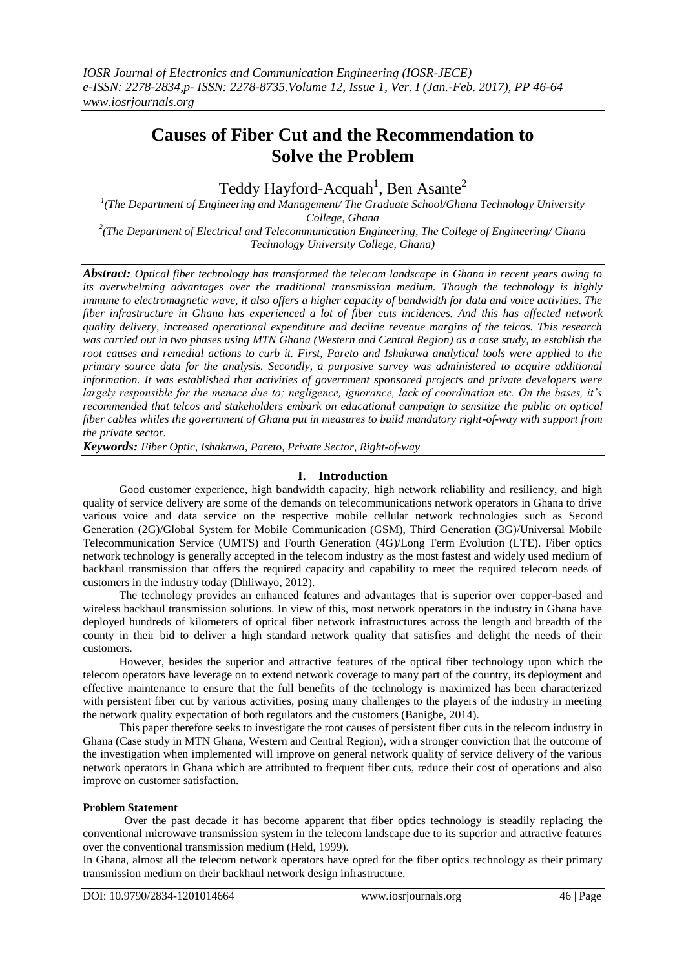# **Causes of Fiber Cut and the Recommendation to Solve the Problem**

Teddy Hayford-Acquah<sup>1</sup>, Ben Asante<sup>2</sup>

*1 (The Department of Engineering and Management/ The Graduate School/Ghana Technology University College, Ghana 2 (The Department of Electrical and Telecommunication Engineering, The College of Engineering/ Ghana* 

*Technology University College, Ghana)*

*Abstract: Optical fiber technology has transformed the telecom landscape in Ghana in recent years owing to its overwhelming advantages over the traditional transmission medium. Though the technology is highly immune to electromagnetic wave, it also offers a higher capacity of bandwidth for data and voice activities. The fiber infrastructure in Ghana has experienced a lot of fiber cuts incidences. And this has affected network quality delivery, increased operational expenditure and decline revenue margins of the telcos. This research was carried out in two phases using MTN Ghana (Western and Central Region) as a case study, to establish the root causes and remedial actions to curb it. First, Pareto and Ishakawa analytical tools were applied to the primary source data for the analysis. Secondly, a purposive survey was administered to acquire additional information. It was established that activities of government sponsored projects and private developers were largely responsible for the menace due to; negligence, ignorance, lack of coordination etc. On the bases, it's recommended that telcos and stakeholders embark on educational campaign to sensitize the public on optical fiber cables whiles the government of Ghana put in measures to build mandatory right-of-way with support from the private sector.* 

*Keywords: Fiber Optic, Ishakawa, Pareto, Private Sector, Right-of-way*

# **I. Introduction**

Good customer experience, high bandwidth capacity, high network reliability and resiliency, and high quality of service delivery are some of the demands on telecommunications network operators in Ghana to drive various voice and data service on the respective mobile cellular network technologies such as Second Generation (2G)/Global System for Mobile Communication (GSM), Third Generation (3G)/Universal Mobile Telecommunication Service (UMTS) and Fourth Generation (4G)/Long Term Evolution (LTE). Fiber optics network technology is generally accepted in the telecom industry as the most fastest and widely used medium of backhaul transmission that offers the required capacity and capability to meet the required telecom needs of customers in the industry today (Dhliwayo, 2012).

The technology provides an enhanced features and advantages that is superior over copper-based and wireless backhaul transmission solutions. In view of this, most network operators in the industry in Ghana have deployed hundreds of kilometers of optical fiber network infrastructures across the length and breadth of the county in their bid to deliver a high standard network quality that satisfies and delight the needs of their customers.

However, besides the superior and attractive features of the optical fiber technology upon which the telecom operators have leverage on to extend network coverage to many part of the country, its deployment and effective maintenance to ensure that the full benefits of the technology is maximized has been characterized with persistent fiber cut by various activities, posing many challenges to the players of the industry in meeting the network quality expectation of both regulators and the customers (Banigbe, 2014).

This paper therefore seeks to investigate the root causes of persistent fiber cuts in the telecom industry in Ghana (Case study in MTN Ghana, Western and Central Region), with a stronger conviction that the outcome of the investigation when implemented will improve on general network quality of service delivery of the various network operators in Ghana which are attributed to frequent fiber cuts, reduce their cost of operations and also improve on customer satisfaction.

# **Problem Statement**

Over the past decade it has become apparent that fiber optics technology is steadily replacing the conventional microwave transmission system in the telecom landscape due to its superior and attractive features over the conventional transmission medium (Held, 1999).

In Ghana, almost all the telecom network operators have opted for the fiber optics technology as their primary transmission medium on their backhaul network design infrastructure.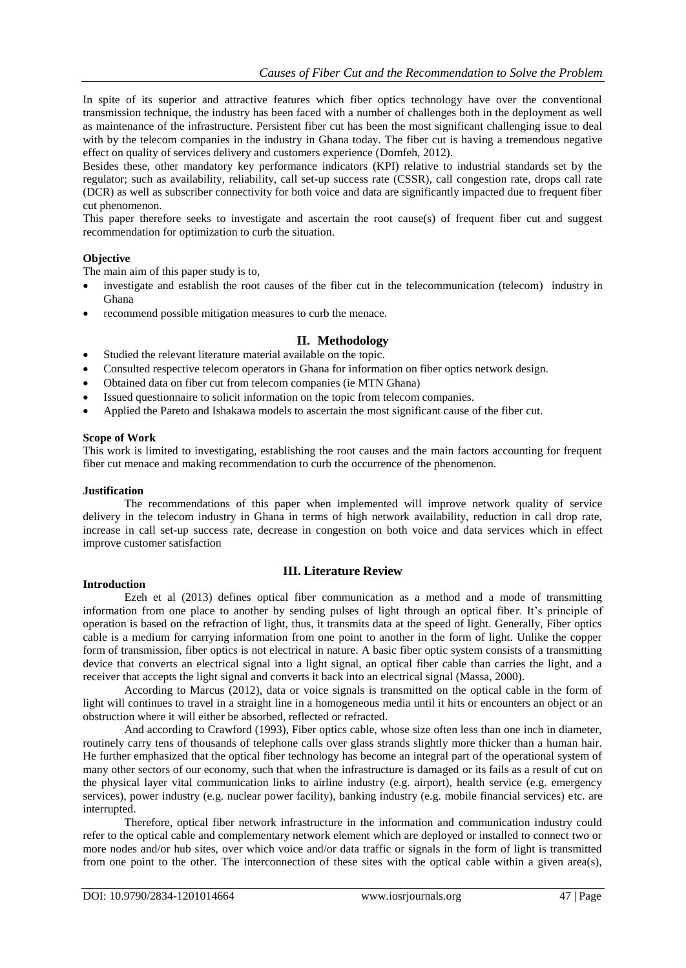In spite of its superior and attractive features which fiber optics technology have over the conventional transmission technique, the industry has been faced with a number of challenges both in the deployment as well as maintenance of the infrastructure. Persistent fiber cut has been the most significant challenging issue to deal with by the telecom companies in the industry in Ghana today. The fiber cut is having a tremendous negative effect on quality of services delivery and customers experience (Domfeh, 2012).

Besides these, other mandatory key performance indicators (KPI) relative to industrial standards set by the regulator; such as availability, reliability, call set-up success rate (CSSR), call congestion rate, drops call rate (DCR) as well as subscriber connectivity for both voice and data are significantly impacted due to frequent fiber cut phenomenon.

This paper therefore seeks to investigate and ascertain the root cause(s) of frequent fiber cut and suggest recommendation for optimization to curb the situation.

## **Objective**

The main aim of this paper study is to,

- investigate and establish the root causes of the fiber cut in the telecommunication (telecom) industry in Ghana
- recommend possible mitigation measures to curb the menace.

# **II. Methodology**

- Studied the relevant literature material available on the topic.
- Consulted respective telecom operators in Ghana for information on fiber optics network design.
- Obtained data on fiber cut from telecom companies (ie MTN Ghana)
- Issued questionnaire to solicit information on the topic from telecom companies.
- Applied the Pareto and Ishakawa models to ascertain the most significant cause of the fiber cut.

#### **Scope of Work**

This work is limited to investigating, establishing the root causes and the main factors accounting for frequent fiber cut menace and making recommendation to curb the occurrence of the phenomenon.

#### **Justification**

The recommendations of this paper when implemented will improve network quality of service delivery in the telecom industry in Ghana in terms of high network availability, reduction in call drop rate, increase in call set-up success rate, decrease in congestion on both voice and data services which in effect improve customer satisfaction

## **III. Literature Review**

#### **Introduction**

Ezeh et al (2013) defines optical fiber communication as a method and a mode of transmitting information from one place to another by sending pulses of light through an optical fiber. It's principle of operation is based on the refraction of light, thus, it transmits data at the speed of light. Generally, Fiber optics cable is a medium for carrying information from one point to another in the form of light. Unlike the copper form of transmission, fiber optics is not electrical in nature. A basic fiber optic system consists of a transmitting device that converts an electrical signal into a light signal, an optical fiber cable than carries the light, and a receiver that accepts the light signal and converts it back into an electrical signal (Massa, 2000).

According to Marcus (2012), data or voice signals is transmitted on the optical cable in the form of light will continues to travel in a straight line in a homogeneous media until it hits or encounters an object or an obstruction where it will either be absorbed, reflected or refracted.

And according to Crawford (1993), Fiber optics cable, whose size often less than one inch in diameter, routinely carry tens of thousands of telephone calls over glass strands slightly more thicker than a human hair. He further emphasized that the optical fiber technology has become an integral part of the operational system of many other sectors of our economy, such that when the infrastructure is damaged or its fails as a result of cut on the physical layer vital communication links to airline industry (e.g. airport), health service (e.g. emergency services), power industry (e.g. nuclear power facility), banking industry (e.g. mobile financial services) etc. are interrupted.

Therefore, optical fiber network infrastructure in the information and communication industry could refer to the optical cable and complementary network element which are deployed or installed to connect two or more nodes and/or hub sites, over which voice and/or data traffic or signals in the form of light is transmitted from one point to the other. The interconnection of these sites with the optical cable within a given area(s),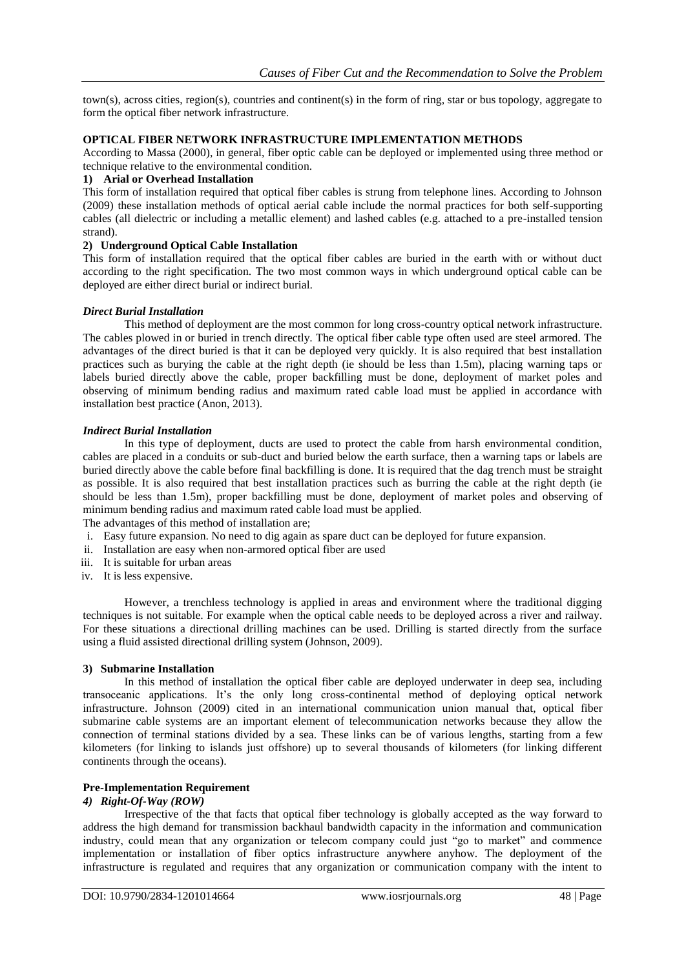town(s), across cities, region(s), countries and continent(s) in the form of ring, star or bus topology, aggregate to form the optical fiber network infrastructure.

# **OPTICAL FIBER NETWORK INFRASTRUCTURE IMPLEMENTATION METHODS**

According to Massa (2000), in general, fiber optic cable can be deployed or implemented using three method or technique relative to the environmental condition.

## **1) Arial or Overhead Installation**

This form of installation required that optical fiber cables is strung from telephone lines. According to Johnson (2009) these installation methods of optical aerial cable include the normal practices for both self-supporting cables (all dielectric or including a metallic element) and lashed cables (e.g. attached to a pre-installed tension strand).

### **2) Underground Optical Cable Installation**

This form of installation required that the optical fiber cables are buried in the earth with or without duct according to the right specification. The two most common ways in which underground optical cable can be deployed are either direct burial or indirect burial.

#### *Direct Burial Installation*

This method of deployment are the most common for long cross-country optical network infrastructure. The cables plowed in or buried in trench directly. The optical fiber cable type often used are steel armored. The advantages of the direct buried is that it can be deployed very quickly. It is also required that best installation practices such as burying the cable at the right depth (ie should be less than 1.5m), placing warning taps or labels buried directly above the cable, proper backfilling must be done, deployment of market poles and observing of minimum bending radius and maximum rated cable load must be applied in accordance with installation best practice (Anon, 2013).

#### *Indirect Burial Installation*

In this type of deployment, ducts are used to protect the cable from harsh environmental condition, cables are placed in a conduits or sub-duct and buried below the earth surface, then a warning taps or labels are buried directly above the cable before final backfilling is done. It is required that the dag trench must be straight as possible. It is also required that best installation practices such as burring the cable at the right depth (ie should be less than 1.5m), proper backfilling must be done, deployment of market poles and observing of minimum bending radius and maximum rated cable load must be applied.

The advantages of this method of installation are;

- i. Easy future expansion. No need to dig again as spare duct can be deployed for future expansion.
- ii. Installation are easy when non-armored optical fiber are used
- iii. It is suitable for urban areas
- iv. It is less expensive.

However, a trenchless technology is applied in areas and environment where the traditional digging techniques is not suitable. For example when the optical cable needs to be deployed across a river and railway. For these situations a directional drilling machines can be used. Drilling is started directly from the surface using a fluid assisted directional drilling system (Johnson, 2009).

## **3) Submarine Installation**

In this method of installation the optical fiber cable are deployed underwater in deep sea, including transoceanic applications. It's the only long cross-continental method of deploying optical network infrastructure. Johnson (2009) cited in an international communication union manual that, optical fiber submarine cable systems are an important element of telecommunication networks because they allow the connection of terminal stations divided by a sea. These links can be of various lengths, starting from a few kilometers (for linking to islands just offshore) up to several thousands of kilometers (for linking different continents through the oceans).

## **Pre-Implementation Requirement**

#### *4) Right-Of-Way (ROW)*

Irrespective of the that facts that optical fiber technology is globally accepted as the way forward to address the high demand for transmission backhaul bandwidth capacity in the information and communication industry, could mean that any organization or telecom company could just "go to market" and commence implementation or installation of fiber optics infrastructure anywhere anyhow. The deployment of the infrastructure is regulated and requires that any organization or communication company with the intent to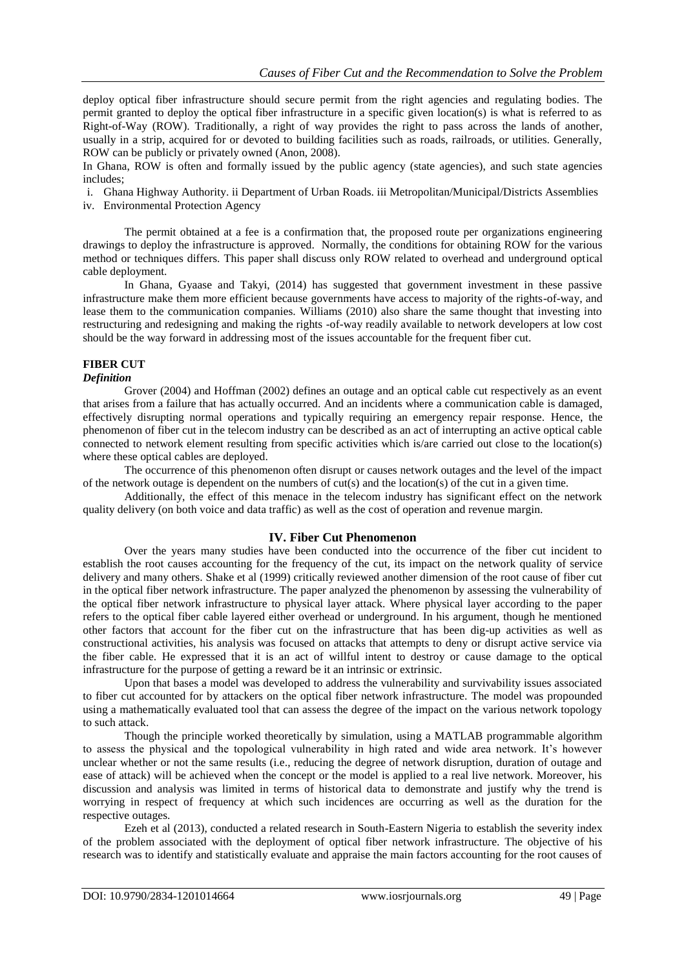deploy optical fiber infrastructure should secure permit from the right agencies and regulating bodies. The permit granted to deploy the optical fiber infrastructure in a specific given location(s) is what is referred to as Right-of-Way (ROW). Traditionally, a right of way provides the right to pass across the lands of another, usually in a strip, acquired for or devoted to building facilities such as roads, railroads, or utilities. Generally, ROW can be publicly or privately owned (Anon, 2008).

In Ghana, ROW is often and formally issued by the public agency (state agencies), and such state agencies includes;

i. Ghana Highway Authority. ii Department of Urban Roads. iii Metropolitan/Municipal/Districts Assemblies iv. Environmental Protection Agency

The permit obtained at a fee is a confirmation that, the proposed route per organizations engineering drawings to deploy the infrastructure is approved. Normally, the conditions for obtaining ROW for the various method or techniques differs. This paper shall discuss only ROW related to overhead and underground optical cable deployment.

In Ghana, Gyaase and Takyi, (2014) has suggested that government investment in these passive infrastructure make them more efficient because governments have access to majority of the rights-of-way, and lease them to the communication companies. Williams (2010) also share the same thought that investing into restructuring and redesigning and making the rights -of-way readily available to network developers at low cost should be the way forward in addressing most of the issues accountable for the frequent fiber cut.

## **FIBER CUT**

#### *Definition*

Grover (2004) and Hoffman (2002) defines an outage and an optical cable cut respectively as an event that arises from a failure that has actually occurred. And an incidents where a communication cable is damaged, effectively disrupting normal operations and typically requiring an emergency repair response. Hence, the phenomenon of fiber cut in the telecom industry can be described as an act of interrupting an active optical cable connected to network element resulting from specific activities which is/are carried out close to the location(s) where these optical cables are deployed.

The occurrence of this phenomenon often disrupt or causes network outages and the level of the impact of the network outage is dependent on the numbers of cut(s) and the location(s) of the cut in a given time.

Additionally, the effect of this menace in the telecom industry has significant effect on the network quality delivery (on both voice and data traffic) as well as the cost of operation and revenue margin.

## **IV. Fiber Cut Phenomenon**

Over the years many studies have been conducted into the occurrence of the fiber cut incident to establish the root causes accounting for the frequency of the cut, its impact on the network quality of service delivery and many others. Shake et al (1999) critically reviewed another dimension of the root cause of fiber cut in the optical fiber network infrastructure. The paper analyzed the phenomenon by assessing the vulnerability of the optical fiber network infrastructure to physical layer attack. Where physical layer according to the paper refers to the optical fiber cable layered either overhead or underground. In his argument, though he mentioned other factors that account for the fiber cut on the infrastructure that has been dig-up activities as well as constructional activities, his analysis was focused on attacks that attempts to deny or disrupt active service via the fiber cable. He expressed that it is an act of willful intent to destroy or cause damage to the optical infrastructure for the purpose of getting a reward be it an intrinsic or extrinsic.

Upon that bases a model was developed to address the vulnerability and survivability issues associated to fiber cut accounted for by attackers on the optical fiber network infrastructure. The model was propounded using a mathematically evaluated tool that can assess the degree of the impact on the various network topology to such attack.

Though the principle worked theoretically by simulation, using a MATLAB programmable algorithm to assess the physical and the topological vulnerability in high rated and wide area network. It's however unclear whether or not the same results (i.e., reducing the degree of network disruption, duration of outage and ease of attack) will be achieved when the concept or the model is applied to a real live network. Moreover, his discussion and analysis was limited in terms of historical data to demonstrate and justify why the trend is worrying in respect of frequency at which such incidences are occurring as well as the duration for the respective outages.

Ezeh et al (2013), conducted a related research in South-Eastern Nigeria to establish the severity index of the problem associated with the deployment of optical fiber network infrastructure. The objective of his research was to identify and statistically evaluate and appraise the main factors accounting for the root causes of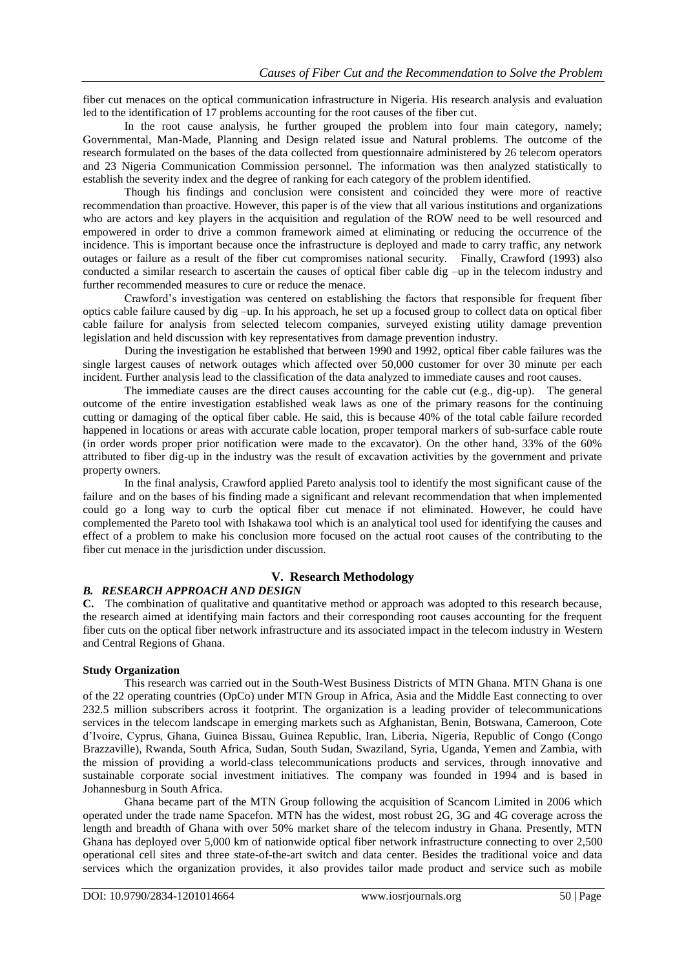fiber cut menaces on the optical communication infrastructure in Nigeria. His research analysis and evaluation led to the identification of 17 problems accounting for the root causes of the fiber cut.

In the root cause analysis, he further grouped the problem into four main category, namely; Governmental, Man-Made, Planning and Design related issue and Natural problems. The outcome of the research formulated on the bases of the data collected from questionnaire administered by 26 telecom operators and 23 Nigeria Communication Commission personnel. The information was then analyzed statistically to establish the severity index and the degree of ranking for each category of the problem identified.

Though his findings and conclusion were consistent and coincided they were more of reactive recommendation than proactive. However, this paper is of the view that all various institutions and organizations who are actors and key players in the acquisition and regulation of the ROW need to be well resourced and empowered in order to drive a common framework aimed at eliminating or reducing the occurrence of the incidence. This is important because once the infrastructure is deployed and made to carry traffic, any network outages or failure as a result of the fiber cut compromises national security. Finally, Crawford (1993) also conducted a similar research to ascertain the causes of optical fiber cable dig –up in the telecom industry and further recommended measures to cure or reduce the menace.

Crawford's investigation was centered on establishing the factors that responsible for frequent fiber optics cable failure caused by dig –up. In his approach, he set up a focused group to collect data on optical fiber cable failure for analysis from selected telecom companies, surveyed existing utility damage prevention legislation and held discussion with key representatives from damage prevention industry.

During the investigation he established that between 1990 and 1992, optical fiber cable failures was the single largest causes of network outages which affected over 50,000 customer for over 30 minute per each incident. Further analysis lead to the classification of the data analyzed to immediate causes and root causes.

The immediate causes are the direct causes accounting for the cable cut (e.g., dig-up). The general outcome of the entire investigation established weak laws as one of the primary reasons for the continuing cutting or damaging of the optical fiber cable. He said, this is because 40% of the total cable failure recorded happened in locations or areas with accurate cable location, proper temporal markers of sub-surface cable route (in order words proper prior notification were made to the excavator). On the other hand, 33% of the 60% attributed to fiber dig-up in the industry was the result of excavation activities by the government and private property owners.

In the final analysis, Crawford applied Pareto analysis tool to identify the most significant cause of the failure and on the bases of his finding made a significant and relevant recommendation that when implemented could go a long way to curb the optical fiber cut menace if not eliminated. However, he could have complemented the Pareto tool with Ishakawa tool which is an analytical tool used for identifying the causes and effect of a problem to make his conclusion more focused on the actual root causes of the contributing to the fiber cut menace in the jurisdiction under discussion.

# **V. Research Methodology**

# *B. RESEARCH APPROACH AND DESIGN*

**C.** The combination of qualitative and quantitative method or approach was adopted to this research because, the research aimed at identifying main factors and their corresponding root causes accounting for the frequent fiber cuts on the optical fiber network infrastructure and its associated impact in the telecom industry in Western and Central Regions of Ghana.

## **Study Organization**

This research was carried out in the South-West Business Districts of MTN Ghana. MTN Ghana is one of the 22 operating countries (OpCo) under MTN Group in Africa, Asia and the Middle East connecting to over 232.5 million subscribers across it footprint. The organization is a leading provider of telecommunications services in the telecom landscape in emerging markets such as Afghanistan, Benin, Botswana, Cameroon, Cote d'Ivoire, Cyprus, Ghana, Guinea Bissau, Guinea Republic, Iran, Liberia, Nigeria, Republic of Congo (Congo Brazzaville), Rwanda, South Africa, Sudan, South Sudan, Swaziland, Syria, Uganda, Yemen and Zambia, with the mission of providing a world-class telecommunications products and services, through innovative and sustainable corporate social investment initiatives. The company was founded in 1994 and is based in Johannesburg in South Africa.

Ghana became part of the MTN Group following the acquisition of Scancom Limited in 2006 which operated under the trade name Spacefon. MTN has the widest, most robust 2G, 3G and 4G coverage across the length and breadth of Ghana with over 50% market share of the telecom industry in Ghana. Presently, MTN Ghana has deployed over 5,000 km of nationwide optical fiber network infrastructure connecting to over 2,500 operational cell sites and three state-of-the-art switch and data center. Besides the traditional voice and data services which the organization provides, it also provides tailor made product and service such as mobile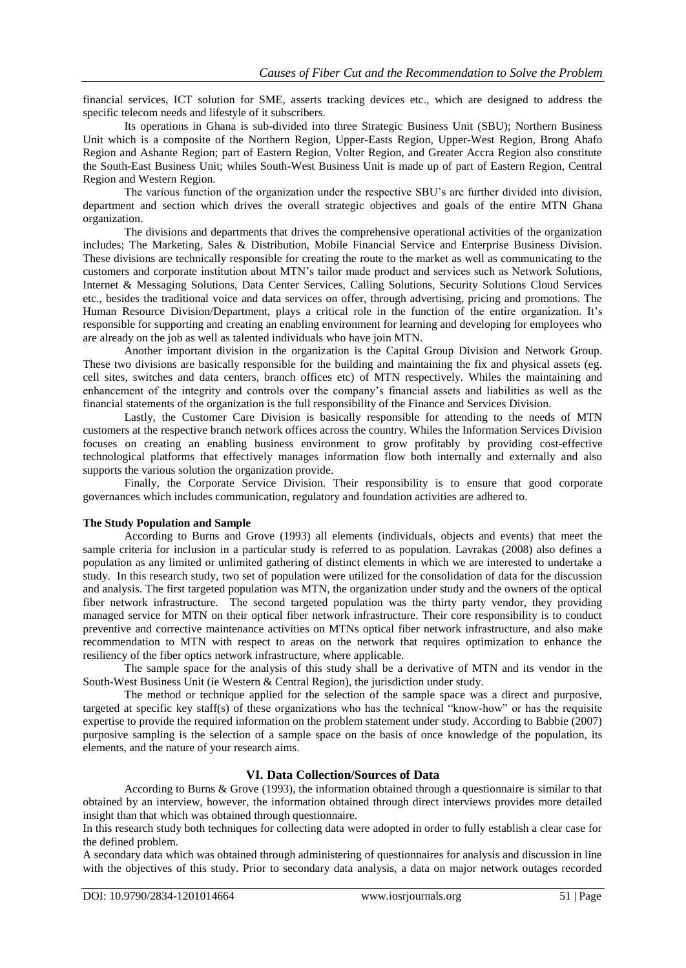financial services, ICT solution for SME, asserts tracking devices etc., which are designed to address the specific telecom needs and lifestyle of it subscribers.

Its operations in Ghana is sub-divided into three Strategic Business Unit (SBU); Northern Business Unit which is a composite of the Northern Region, Upper-Easts Region, Upper-West Region, Brong Ahafo Region and Ashante Region; part of Eastern Region, Volter Region, and Greater Accra Region also constitute the South-East Business Unit; whiles South-West Business Unit is made up of part of Eastern Region, Central Region and Western Region.

The various function of the organization under the respective SBU's are further divided into division, department and section which drives the overall strategic objectives and goals of the entire MTN Ghana organization.

The divisions and departments that drives the comprehensive operational activities of the organization includes; The Marketing, Sales & Distribution, Mobile Financial Service and Enterprise Business Division. These divisions are technically responsible for creating the route to the market as well as communicating to the customers and corporate institution about MTN's tailor made product and services such as Network Solutions, Internet & Messaging Solutions, Data Center Services, Calling Solutions, Security Solutions Cloud Services etc., besides the traditional voice and data services on offer, through advertising, pricing and promotions. The Human Resource Division/Department, plays a critical role in the function of the entire organization. It's responsible for supporting and creating an enabling environment for learning and developing for employees who are already on the job as well as talented individuals who have join MTN.

Another important division in the organization is the Capital Group Division and Network Group. These two divisions are basically responsible for the building and maintaining the fix and physical assets (eg. cell sites, switches and data centers, branch offices etc) of MTN respectively. Whiles the maintaining and enhancement of the integrity and controls over the company's financial assets and liabilities as well as the financial statements of the organization is the full responsibility of the Finance and Services Division.

Lastly, the Customer Care Division is basically responsible for attending to the needs of MTN customers at the respective branch network offices across the country. Whiles the Information Services Division focuses on creating an enabling business environment to grow profitably by providing cost-effective technological platforms that effectively manages information flow both internally and externally and also supports the various solution the organization provide.

Finally, the Corporate Service Division. Their responsibility is to ensure that good corporate governances which includes communication, regulatory and foundation activities are adhered to.

## **The Study Population and Sample**

According to Burns and Grove (1993) all elements (individuals, objects and events) that meet the sample criteria for inclusion in a particular study is referred to as population. Lavrakas (2008) also defines a population as any limited or unlimited gathering of distinct elements in which we are interested to undertake a study. In this research study, two set of population were utilized for the consolidation of data for the discussion and analysis. The first targeted population was MTN, the organization under study and the owners of the optical fiber network infrastructure. The second targeted population was the thirty party vendor, they providing managed service for MTN on their optical fiber network infrastructure. Their core responsibility is to conduct preventive and corrective maintenance activities on MTNs optical fiber network infrastructure, and also make recommendation to MTN with respect to areas on the network that requires optimization to enhance the resiliency of the fiber optics network infrastructure, where applicable.

The sample space for the analysis of this study shall be a derivative of MTN and its vendor in the South-West Business Unit (ie Western & Central Region), the jurisdiction under study.

The method or technique applied for the selection of the sample space was a direct and purposive, targeted at specific key staff(s) of these organizations who has the technical "know-how" or has the requisite expertise to provide the required information on the problem statement under study. According to Babbie (2007) purposive sampling is the selection of a sample space on the basis of once knowledge of the population, its elements, and the nature of your research aims.

# **VI. Data Collection/Sources of Data**

According to Burns & Grove (1993), the information obtained through a questionnaire is similar to that obtained by an interview, however, the information obtained through direct interviews provides more detailed insight than that which was obtained through questionnaire.

In this research study both techniques for collecting data were adopted in order to fully establish a clear case for the defined problem.

A secondary data which was obtained through administering of questionnaires for analysis and discussion in line with the objectives of this study. Prior to secondary data analysis, a data on major network outages recorded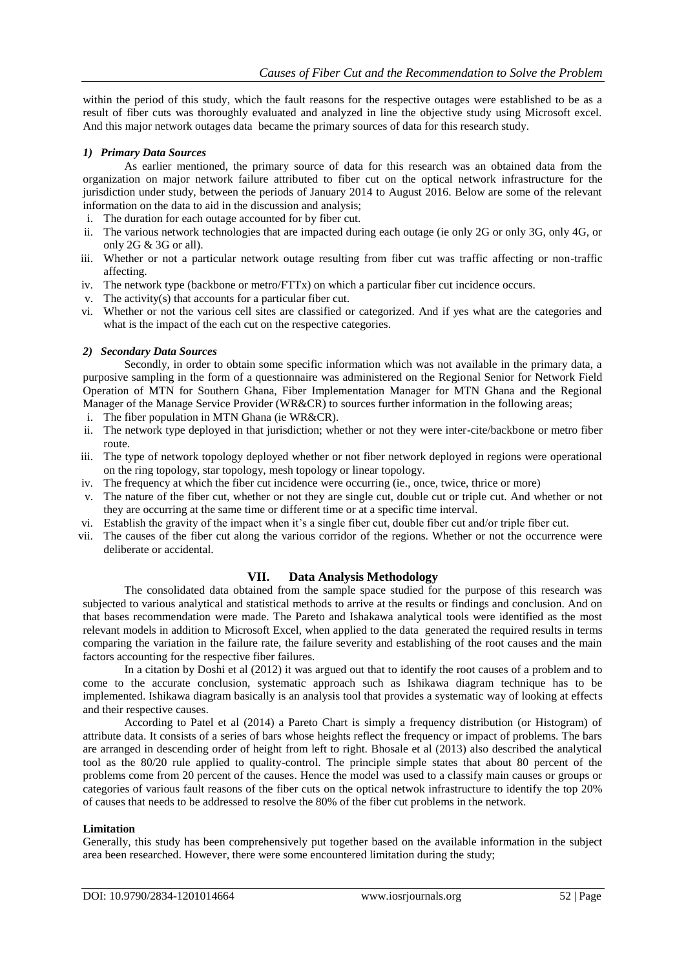within the period of this study, which the fault reasons for the respective outages were established to be as a result of fiber cuts was thoroughly evaluated and analyzed in line the objective study using Microsoft excel. And this major network outages data became the primary sources of data for this research study.

## *1) Primary Data Sources*

As earlier mentioned, the primary source of data for this research was an obtained data from the organization on major network failure attributed to fiber cut on the optical network infrastructure for the jurisdiction under study, between the periods of January 2014 to August 2016. Below are some of the relevant information on the data to aid in the discussion and analysis;

- i. The duration for each outage accounted for by fiber cut.
- ii. The various network technologies that are impacted during each outage (ie only 2G or only 3G, only 4G, or only 2G & 3G or all).
- iii. Whether or not a particular network outage resulting from fiber cut was traffic affecting or non-traffic affecting.
- iv. The network type (backbone or metro/FTTx) on which a particular fiber cut incidence occurs.
- v. The activity(s) that accounts for a particular fiber cut.
- vi. Whether or not the various cell sites are classified or categorized. And if yes what are the categories and what is the impact of the each cut on the respective categories.

## *2) Secondary Data Sources*

Secondly, in order to obtain some specific information which was not available in the primary data, a purposive sampling in the form of a questionnaire was administered on the Regional Senior for Network Field Operation of MTN for Southern Ghana, Fiber Implementation Manager for MTN Ghana and the Regional Manager of the Manage Service Provider (WR&CR) to sources further information in the following areas;

- i. The fiber population in MTN Ghana (ie WR&CR).
- ii. The network type deployed in that jurisdiction; whether or not they were inter-cite/backbone or metro fiber route.
- iii. The type of network topology deployed whether or not fiber network deployed in regions were operational on the ring topology, star topology, mesh topology or linear topology.
- iv. The frequency at which the fiber cut incidence were occurring (ie., once, twice, thrice or more)
- v. The nature of the fiber cut, whether or not they are single cut, double cut or triple cut. And whether or not they are occurring at the same time or different time or at a specific time interval.
- vi. Establish the gravity of the impact when it's a single fiber cut, double fiber cut and/or triple fiber cut.
- vii. The causes of the fiber cut along the various corridor of the regions. Whether or not the occurrence were deliberate or accidental.

# **VII. Data Analysis Methodology**

The consolidated data obtained from the sample space studied for the purpose of this research was subjected to various analytical and statistical methods to arrive at the results or findings and conclusion. And on that bases recommendation were made. The Pareto and Ishakawa analytical tools were identified as the most relevant models in addition to Microsoft Excel, when applied to the data generated the required results in terms comparing the variation in the failure rate, the failure severity and establishing of the root causes and the main factors accounting for the respective fiber failures.

In a citation by Doshi et al (2012) it was argued out that to identify the root causes of a problem and to come to the accurate conclusion, systematic approach such as Ishikawa diagram technique has to be implemented. Ishikawa diagram basically is an analysis tool that provides a systematic way of looking at effects and their respective causes.

According to Patel et al (2014) a Pareto Chart is simply a frequency distribution (or Histogram) of attribute data. It consists of a series of bars whose heights reflect the frequency or impact of problems. The bars are arranged in descending order of height from left to right. Bhosale et al (2013) also described the analytical tool as the 80/20 rule applied to quality-control. The principle simple states that about 80 percent of the problems come from 20 percent of the causes. Hence the model was used to a classify main causes or groups or categories of various fault reasons of the fiber cuts on the optical netwok infrastructure to identify the top 20% of causes that needs to be addressed to resolve the 80% of the fiber cut problems in the network.

## **Limitation**

Generally, this study has been comprehensively put together based on the available information in the subject area been researched. However, there were some encountered limitation during the study;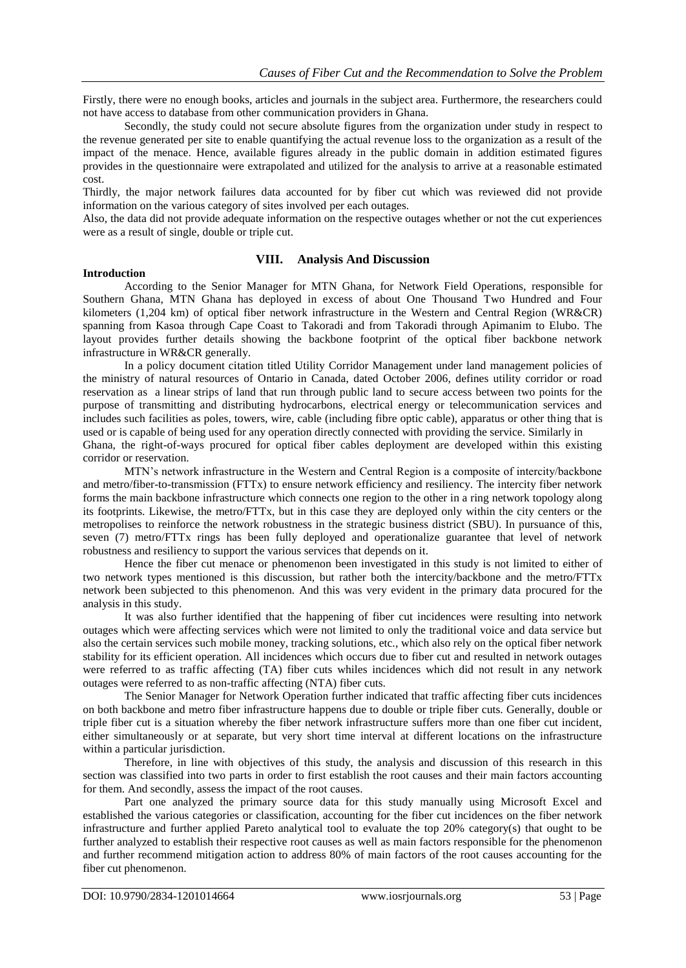Firstly, there were no enough books, articles and journals in the subject area. Furthermore, the researchers could not have access to database from other communication providers in Ghana.

Secondly, the study could not secure absolute figures from the organization under study in respect to the revenue generated per site to enable quantifying the actual revenue loss to the organization as a result of the impact of the menace. Hence, available figures already in the public domain in addition estimated figures provides in the questionnaire were extrapolated and utilized for the analysis to arrive at a reasonable estimated cost.

Thirdly, the major network failures data accounted for by fiber cut which was reviewed did not provide information on the various category of sites involved per each outages.

Also, the data did not provide adequate information on the respective outages whether or not the cut experiences were as a result of single, double or triple cut.

#### **Introduction**

# **VIII. Analysis And Discussion**

According to the Senior Manager for MTN Ghana, for Network Field Operations, responsible for Southern Ghana, MTN Ghana has deployed in excess of about One Thousand Two Hundred and Four kilometers (1,204 km) of optical fiber network infrastructure in the Western and Central Region (WR&CR) spanning from Kasoa through Cape Coast to Takoradi and from Takoradi through Apimanim to Elubo. The layout provides further details showing the backbone footprint of the optical fiber backbone network infrastructure in WR&CR generally.

In a policy document citation titled Utility Corridor Management under land management policies of the ministry of natural resources of Ontario in Canada, dated October 2006, defines utility corridor or road reservation as a linear strips of land that run through public land to secure access between two points for the purpose of transmitting and distributing hydrocarbons, electrical energy or telecommunication services and includes such facilities as poles, towers, wire, cable (including fibre optic cable), apparatus or other thing that is used or is capable of being used for any operation directly connected with providing the service. Similarly in Ghana, the right-of-ways procured for optical fiber cables deployment are developed within this existing

corridor or reservation.

MTN's network infrastructure in the Western and Central Region is a composite of intercity/backbone and metro/fiber-to-transmission (FTTx) to ensure network efficiency and resiliency. The intercity fiber network forms the main backbone infrastructure which connects one region to the other in a ring network topology along its footprints. Likewise, the metro/FTTx, but in this case they are deployed only within the city centers or the metropolises to reinforce the network robustness in the strategic business district (SBU). In pursuance of this, seven (7) metro/FTTx rings has been fully deployed and operationalize guarantee that level of network robustness and resiliency to support the various services that depends on it.

Hence the fiber cut menace or phenomenon been investigated in this study is not limited to either of two network types mentioned is this discussion, but rather both the intercity/backbone and the metro/FTTx network been subjected to this phenomenon. And this was very evident in the primary data procured for the analysis in this study.

It was also further identified that the happening of fiber cut incidences were resulting into network outages which were affecting services which were not limited to only the traditional voice and data service but also the certain services such mobile money, tracking solutions, etc., which also rely on the optical fiber network stability for its efficient operation. All incidences which occurs due to fiber cut and resulted in network outages were referred to as traffic affecting (TA) fiber cuts whiles incidences which did not result in any network outages were referred to as non-traffic affecting (NTA) fiber cuts.

The Senior Manager for Network Operation further indicated that traffic affecting fiber cuts incidences on both backbone and metro fiber infrastructure happens due to double or triple fiber cuts. Generally, double or triple fiber cut is a situation whereby the fiber network infrastructure suffers more than one fiber cut incident, either simultaneously or at separate, but very short time interval at different locations on the infrastructure within a particular jurisdiction.

Therefore, in line with objectives of this study, the analysis and discussion of this research in this section was classified into two parts in order to first establish the root causes and their main factors accounting for them. And secondly, assess the impact of the root causes.

Part one analyzed the primary source data for this study manually using Microsoft Excel and established the various categories or classification, accounting for the fiber cut incidences on the fiber network infrastructure and further applied Pareto analytical tool to evaluate the top 20% category(s) that ought to be further analyzed to establish their respective root causes as well as main factors responsible for the phenomenon and further recommend mitigation action to address 80% of main factors of the root causes accounting for the fiber cut phenomenon.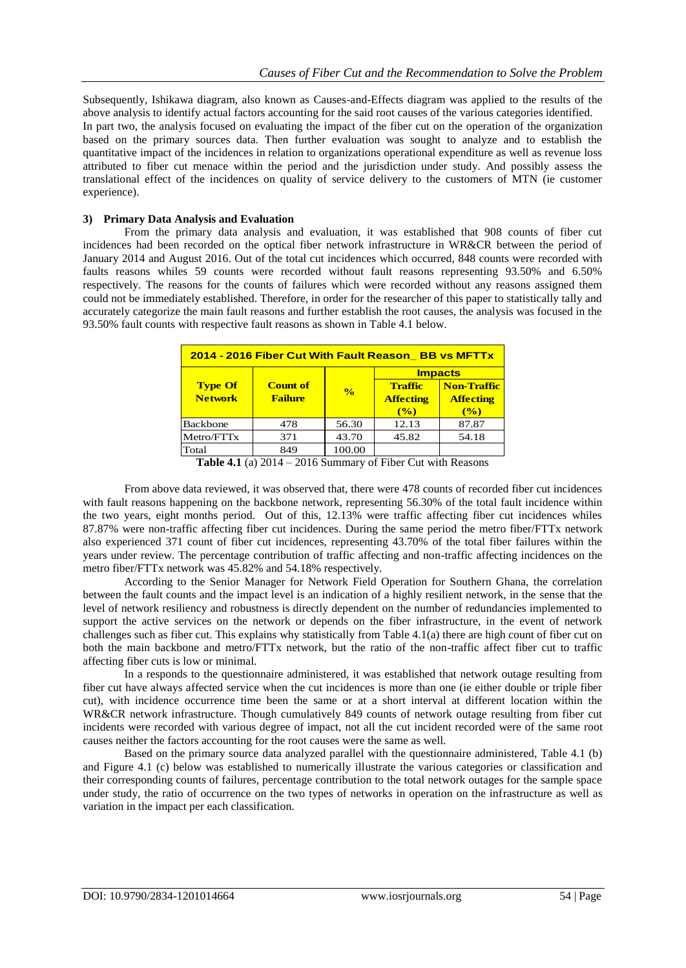Subsequently, Ishikawa diagram, also known as Causes-and-Effects diagram was applied to the results of the above analysis to identify actual factors accounting for the said root causes of the various categories identified. In part two, the analysis focused on evaluating the impact of the fiber cut on the operation of the organization based on the primary sources data. Then further evaluation was sought to analyze and to establish the quantitative impact of the incidences in relation to organizations operational expenditure as well as revenue loss attributed to fiber cut menace within the period and the jurisdiction under study. And possibly assess the translational effect of the incidences on quality of service delivery to the customers of MTN (ie customer experience).

## **3) Primary Data Analysis and Evaluation**

From the primary data analysis and evaluation, it was established that 908 counts of fiber cut incidences had been recorded on the optical fiber network infrastructure in WR&CR between the period of January 2014 and August 2016. Out of the total cut incidences which occurred, 848 counts were recorded with faults reasons whiles 59 counts were recorded without fault reasons representing 93.50% and 6.50% respectively. The reasons for the counts of failures which were recorded without any reasons assigned them could not be immediately established. Therefore, in order for the researcher of this paper to statistically tally and accurately categorize the main fault reasons and further establish the root causes, the analysis was focused in the 93.50% fault counts with respective fault reasons as shown in Table 4.1 below.

| 2014 - 2016 Fiber Cut With Fault Reason BB vs MFTTx |                 |               |                  |                    |  |  |  |  |
|-----------------------------------------------------|-----------------|---------------|------------------|--------------------|--|--|--|--|
| <b>Impacts</b>                                      |                 |               |                  |                    |  |  |  |  |
| <b>Type Of</b>                                      | <b>Count of</b> | $\frac{0}{0}$ | <b>Traffic</b>   | <b>Non-Traffic</b> |  |  |  |  |
| <b>Network</b>                                      | <b>Failure</b>  |               | <b>Affecting</b> | <b>Affecting</b>   |  |  |  |  |
|                                                     |                 |               | $($ %)           | (%)                |  |  |  |  |
| <b>Backbone</b>                                     | 478             | 56.30         | 12.13            | 87.87              |  |  |  |  |
| Metro/FTTx                                          | 371             | 43.70         | 45.82            | 54.18              |  |  |  |  |
| Total                                               | 849             | 100.00        |                  |                    |  |  |  |  |

**Table 4.1** (a) 2014 – 2016 Summary of Fiber Cut with Reasons

From above data reviewed, it was observed that, there were 478 counts of recorded fiber cut incidences with fault reasons happening on the backbone network, representing 56.30% of the total fault incidence within the two years, eight months period. Out of this, 12.13% were traffic affecting fiber cut incidences whiles 87.87% were non-traffic affecting fiber cut incidences. During the same period the metro fiber/FTTx network also experienced 371 count of fiber cut incidences, representing 43.70% of the total fiber failures within the years under review. The percentage contribution of traffic affecting and non-traffic affecting incidences on the metro fiber/FTTx network was 45.82% and 54.18% respectively.

According to the Senior Manager for Network Field Operation for Southern Ghana, the correlation between the fault counts and the impact level is an indication of a highly resilient network, in the sense that the level of network resiliency and robustness is directly dependent on the number of redundancies implemented to support the active services on the network or depends on the fiber infrastructure, in the event of network challenges such as fiber cut. This explains why statistically from Table 4.1(a) there are high count of fiber cut on both the main backbone and metro/FTTx network, but the ratio of the non-traffic affect fiber cut to traffic affecting fiber cuts is low or minimal.

In a responds to the questionnaire administered, it was established that network outage resulting from fiber cut have always affected service when the cut incidences is more than one (ie either double or triple fiber cut), with incidence occurrence time been the same or at a short interval at different location within the WR&CR network infrastructure. Though cumulatively 849 counts of network outage resulting from fiber cut incidents were recorded with various degree of impact, not all the cut incident recorded were of the same root causes neither the factors accounting for the root causes were the same as well.

Based on the primary source data analyzed parallel with the questionnaire administered, Table 4.1 (b) and Figure 4.1 (c) below was established to numerically illustrate the various categories or classification and their corresponding counts of failures, percentage contribution to the total network outages for the sample space under study, the ratio of occurrence on the two types of networks in operation on the infrastructure as well as variation in the impact per each classification.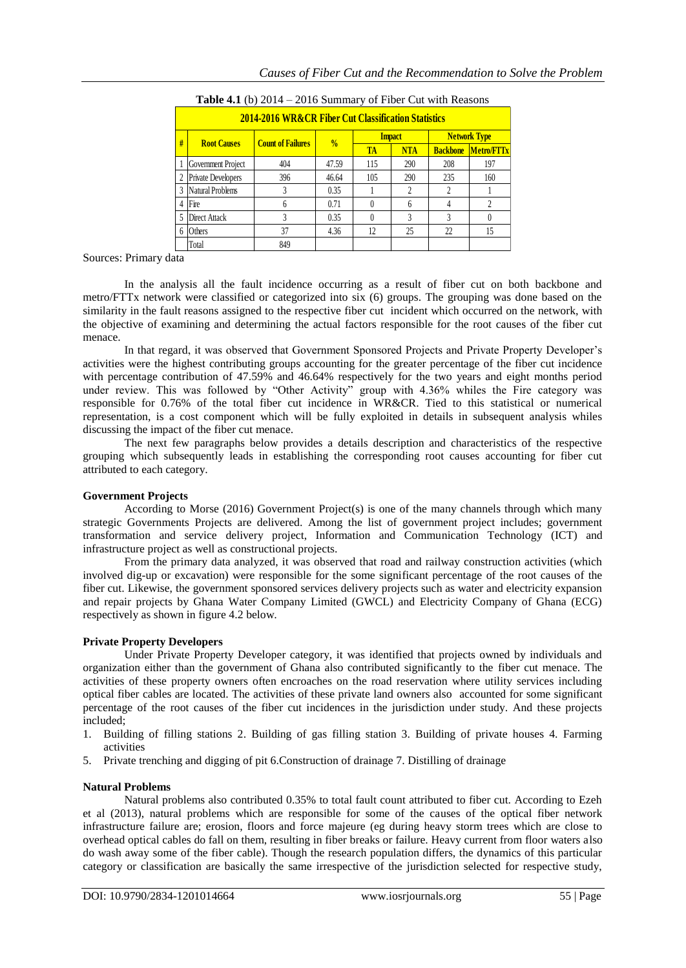|                                                                | <b>THERE</b> (b) FOTT - 2010 DUMMER y OF FIGGS CAN WITH INCREDING |                          |               |               |            |                     |                   |  |
|----------------------------------------------------------------|-------------------------------------------------------------------|--------------------------|---------------|---------------|------------|---------------------|-------------------|--|
| <b>2014-2016 WR&amp;CR Fiber Cut Classification Statistics</b> |                                                                   |                          |               |               |            |                     |                   |  |
| #                                                              |                                                                   |                          | $\frac{0}{0}$ | <b>Impact</b> |            | <b>Network Type</b> |                   |  |
|                                                                | <b>Root Causes</b>                                                | <b>Count of Failures</b> |               | <b>TA</b>     | <b>NTA</b> | <b>Backbone</b>     | <b>Metro/FTTx</b> |  |
|                                                                | <b>Government Project</b>                                         | 404                      | 47.59         | 115           | 290        | 208                 | 197               |  |
| $\mathfrak{D}$                                                 | <b>Private Developers</b>                                         | 396                      | 46.64         | 105           | 290        | 235                 | 160               |  |
| 3                                                              | <b>Natural Problems</b>                                           | 3                        | 0.35          |               | 2          |                     |                   |  |
| 4                                                              | Fre                                                               | 6                        | 0.71          |               | 6          |                     |                   |  |
|                                                                | Direct Attack                                                     |                          | 0.35          |               | 3          |                     |                   |  |
| 6                                                              | Others                                                            | 37                       | 4.36          | 12            | 25         | 22                  | 15                |  |
|                                                                | Total                                                             | 849                      |               |               |            |                     |                   |  |

**Table 4.1** (b) 2014 – 2016 Summary of Fiber Cut with Reasons

Sources: Primary data

In the analysis all the fault incidence occurring as a result of fiber cut on both backbone and metro/FTTx network were classified or categorized into six (6) groups. The grouping was done based on the similarity in the fault reasons assigned to the respective fiber cut incident which occurred on the network, with the objective of examining and determining the actual factors responsible for the root causes of the fiber cut menace.

In that regard, it was observed that Government Sponsored Projects and Private Property Developer's activities were the highest contributing groups accounting for the greater percentage of the fiber cut incidence with percentage contribution of 47.59% and 46.64% respectively for the two years and eight months period under review. This was followed by "Other Activity" group with 4.36% whiles the Fire category was responsible for 0.76% of the total fiber cut incidence in WR&CR. Tied to this statistical or numerical representation, is a cost component which will be fully exploited in details in subsequent analysis whiles discussing the impact of the fiber cut menace.

The next few paragraphs below provides a details description and characteristics of the respective grouping which subsequently leads in establishing the corresponding root causes accounting for fiber cut attributed to each category.

## **Government Projects**

According to Morse (2016) Government Project(s) is one of the many channels through which many strategic Governments Projects are delivered. Among the list of government project includes; government transformation and service delivery project, Information and Communication Technology (ICT) and infrastructure project as well as constructional projects.

From the primary data analyzed, it was observed that road and railway construction activities (which involved dig-up or excavation) were responsible for the some significant percentage of the root causes of the fiber cut. Likewise, the government sponsored services delivery projects such as water and electricity expansion and repair projects by Ghana Water Company Limited (GWCL) and Electricity Company of Ghana (ECG) respectively as shown in figure 4.2 below.

# **Private Property Developers**

Under Private Property Developer category, it was identified that projects owned by individuals and organization either than the government of Ghana also contributed significantly to the fiber cut menace. The activities of these property owners often encroaches on the road reservation where utility services including optical fiber cables are located. The activities of these private land owners also accounted for some significant percentage of the root causes of the fiber cut incidences in the jurisdiction under study. And these projects included;

- 1. Building of filling stations 2. Building of gas filling station 3. Building of private houses 4. Farming activities
- 5. Private trenching and digging of pit 6.Construction of drainage 7. Distilling of drainage

## **Natural Problems**

Natural problems also contributed 0.35% to total fault count attributed to fiber cut. According to Ezeh et al (2013), natural problems which are responsible for some of the causes of the optical fiber network infrastructure failure are; erosion, floors and force majeure (eg during heavy storm trees which are close to overhead optical cables do fall on them, resulting in fiber breaks or failure. Heavy current from floor waters also do wash away some of the fiber cable). Though the research population differs, the dynamics of this particular category or classification are basically the same irrespective of the jurisdiction selected for respective study,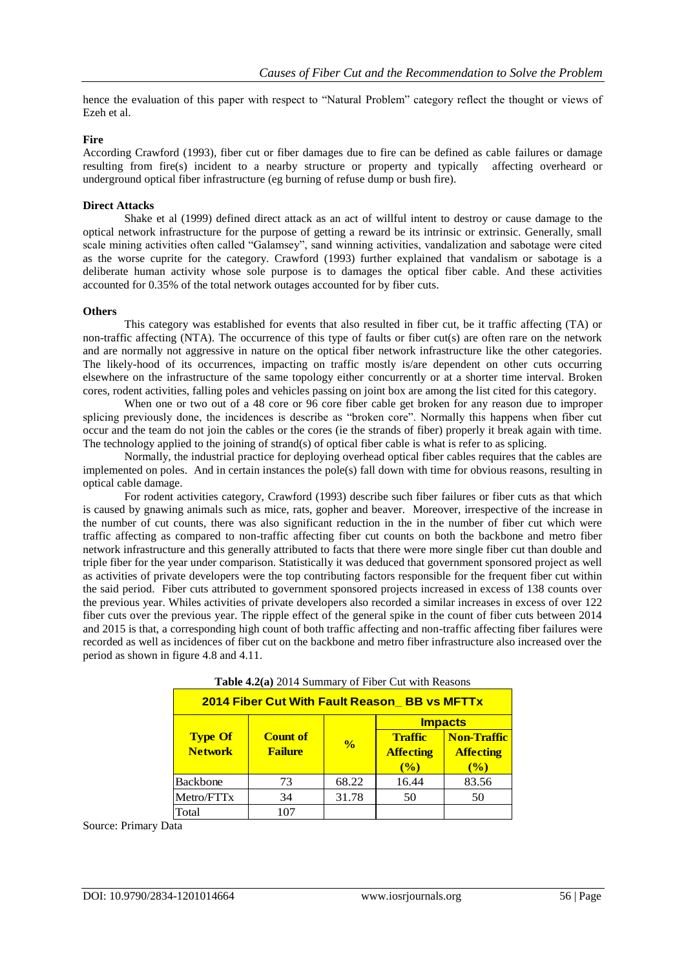hence the evaluation of this paper with respect to "Natural Problem" category reflect the thought or views of Ezeh et al.

## **Fire**

According Crawford (1993), fiber cut or fiber damages due to fire can be defined as cable failures or damage resulting from fire(s) incident to a nearby structure or property and typically affecting overheard or underground optical fiber infrastructure (eg burning of refuse dump or bush fire).

## **Direct Attacks**

Shake et al (1999) defined direct attack as an act of willful intent to destroy or cause damage to the optical network infrastructure for the purpose of getting a reward be its intrinsic or extrinsic. Generally, small scale mining activities often called "Galamsey", sand winning activities, vandalization and sabotage were cited as the worse cuprite for the category. Crawford (1993) further explained that vandalism or sabotage is a deliberate human activity whose sole purpose is to damages the optical fiber cable. And these activities accounted for 0.35% of the total network outages accounted for by fiber cuts.

## **Others**

This category was established for events that also resulted in fiber cut, be it traffic affecting (TA) or non-traffic affecting (NTA). The occurrence of this type of faults or fiber cut(s) are often rare on the network and are normally not aggressive in nature on the optical fiber network infrastructure like the other categories. The likely-hood of its occurrences, impacting on traffic mostly is/are dependent on other cuts occurring elsewhere on the infrastructure of the same topology either concurrently or at a shorter time interval. Broken cores, rodent activities, falling poles and vehicles passing on joint box are among the list cited for this category.

When one or two out of a 48 core or 96 core fiber cable get broken for any reason due to improper splicing previously done, the incidences is describe as "broken core". Normally this happens when fiber cut occur and the team do not join the cables or the cores (ie the strands of fiber) properly it break again with time. The technology applied to the joining of strand(s) of optical fiber cable is what is refer to as splicing.

Normally, the industrial practice for deploying overhead optical fiber cables requires that the cables are implemented on poles. And in certain instances the pole(s) fall down with time for obvious reasons, resulting in optical cable damage.

For rodent activities category, Crawford (1993) describe such fiber failures or fiber cuts as that which is caused by gnawing animals such as mice, rats, gopher and beaver. Moreover, irrespective of the increase in the number of cut counts, there was also significant reduction in the in the number of fiber cut which were traffic affecting as compared to non-traffic affecting fiber cut counts on both the backbone and metro fiber network infrastructure and this generally attributed to facts that there were more single fiber cut than double and triple fiber for the year under comparison. Statistically it was deduced that government sponsored project as well as activities of private developers were the top contributing factors responsible for the frequent fiber cut within the said period. Fiber cuts attributed to government sponsored projects increased in excess of 138 counts over the previous year. Whiles activities of private developers also recorded a similar increases in excess of over 122 fiber cuts over the previous year. The ripple effect of the general spike in the count of fiber cuts between 2014 and 2015 is that, a corresponding high count of both traffic affecting and non-traffic affecting fiber failures were recorded as well as incidences of fiber cut on the backbone and metro fiber infrastructure also increased over the period as shown in figure 4.8 and 4.11.

| <b>Table 4.2(a)</b> 2014 Summary 01 Flock Cut with Keasons |                                   |               |                  |                                        |  |  |  |
|------------------------------------------------------------|-----------------------------------|---------------|------------------|----------------------------------------|--|--|--|
| <b>2014 Fiber Cut With Fault Reason BB vs MFTTx</b>        |                                   |               |                  |                                        |  |  |  |
| <b>Impacts</b>                                             |                                   |               |                  |                                        |  |  |  |
| <b>Type Of</b>                                             | <b>Count of</b><br><b>Failure</b> | $\frac{0}{0}$ | <b>Traffic</b>   | <b>Non-Traffic</b><br><b>Affecting</b> |  |  |  |
| <b>Network</b>                                             |                                   |               | <b>Affecting</b> |                                        |  |  |  |
|                                                            |                                   |               | $($ %)           | (%)                                    |  |  |  |
| Backbone                                                   | 73                                | 68.22         | 16.44            | 83.56                                  |  |  |  |
| Metro/FTTx                                                 | 34                                | 31.78         | 50               | 50                                     |  |  |  |
| Total                                                      | 107                               |               |                  |                                        |  |  |  |

**Table 4.2(a)** 2014 Summary of Fiber Cut with Reasons

Source: Primary Data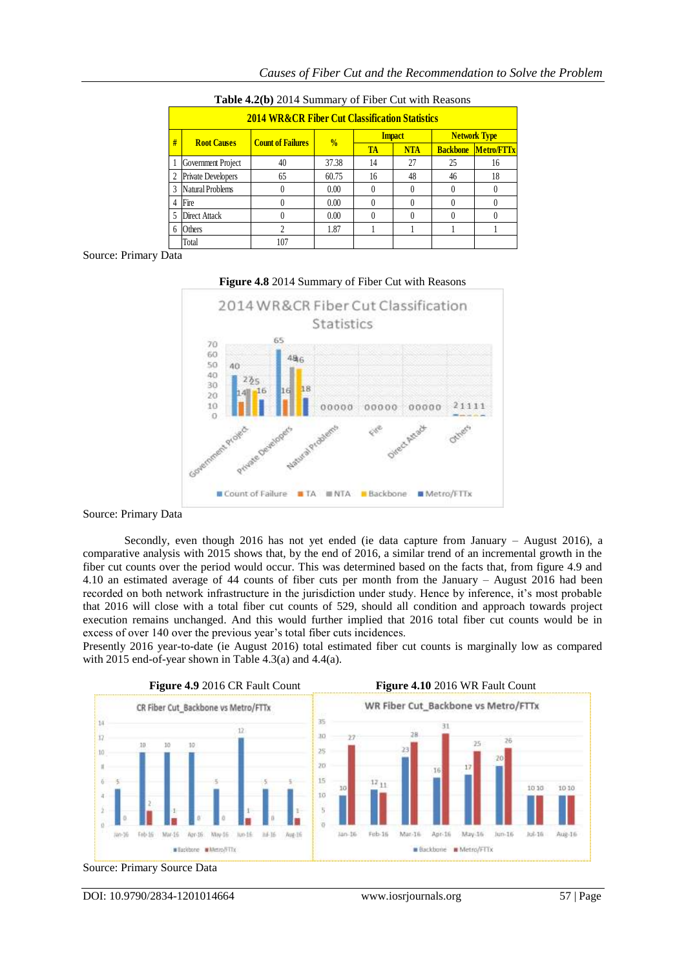|                                                           | <b>Table 4.4(b)</b> 2014 Dunmary 01 Flock Cut with Reasons |                          |               |               |            |                     |                            |  |
|-----------------------------------------------------------|------------------------------------------------------------|--------------------------|---------------|---------------|------------|---------------------|----------------------------|--|
| <b>2014 WR&amp;CR Fiber Cut Classification Statistics</b> |                                                            |                          |               |               |            |                     |                            |  |
| #                                                         |                                                            |                          | $\frac{0}{0}$ | <b>Impact</b> |            | <b>Network Type</b> |                            |  |
|                                                           | <b>Root Causes</b>                                         | <b>Count of Failures</b> |               | <b>TA</b>     | <b>NTA</b> |                     | <b>Backbone Metro/FTTx</b> |  |
|                                                           | Government Project                                         | 40                       | 37.38         | 14            | 27         | 25                  | 16                         |  |
| $\overline{c}$                                            | <b>Private Developers</b>                                  | 65                       | 60.75         | 16            | 48         | 46                  | 18                         |  |
| 3                                                         | <b>Natural Problems</b>                                    |                          | 0.00          |               |            |                     |                            |  |
| 4                                                         | Fire                                                       |                          | 0.00          | 0             | $\theta$   |                     |                            |  |
| 5                                                         | <b>Direct Attack</b>                                       |                          | 0.00          |               |            |                     |                            |  |
| 6                                                         | Others                                                     |                          | 1.87          |               |            |                     |                            |  |
|                                                           | Total                                                      | 107                      |               |               |            |                     |                            |  |

**Table 4.2(b)** 2014 Summary of Fiber Cut with Reasons

Source: Primary Data



## Source: Primary Data

Secondly, even though 2016 has not yet ended (ie data capture from January – August 2016), a comparative analysis with 2015 shows that, by the end of 2016, a similar trend of an incremental growth in the fiber cut counts over the period would occur. This was determined based on the facts that, from figure 4.9 and 4.10 an estimated average of 44 counts of fiber cuts per month from the January – August 2016 had been recorded on both network infrastructure in the jurisdiction under study. Hence by inference, it's most probable that 2016 will close with a total fiber cut counts of 529, should all condition and approach towards project execution remains unchanged. And this would further implied that 2016 total fiber cut counts would be in excess of over 140 over the previous year's total fiber cuts incidences.

Presently 2016 year-to-date (ie August 2016) total estimated fiber cut counts is marginally low as compared with 2015 end-of-year shown in Table 4.3(a) and 4.4(a).





DOI: 10.9790/2834-1201014664 www.iosrjournals.org 57 | Page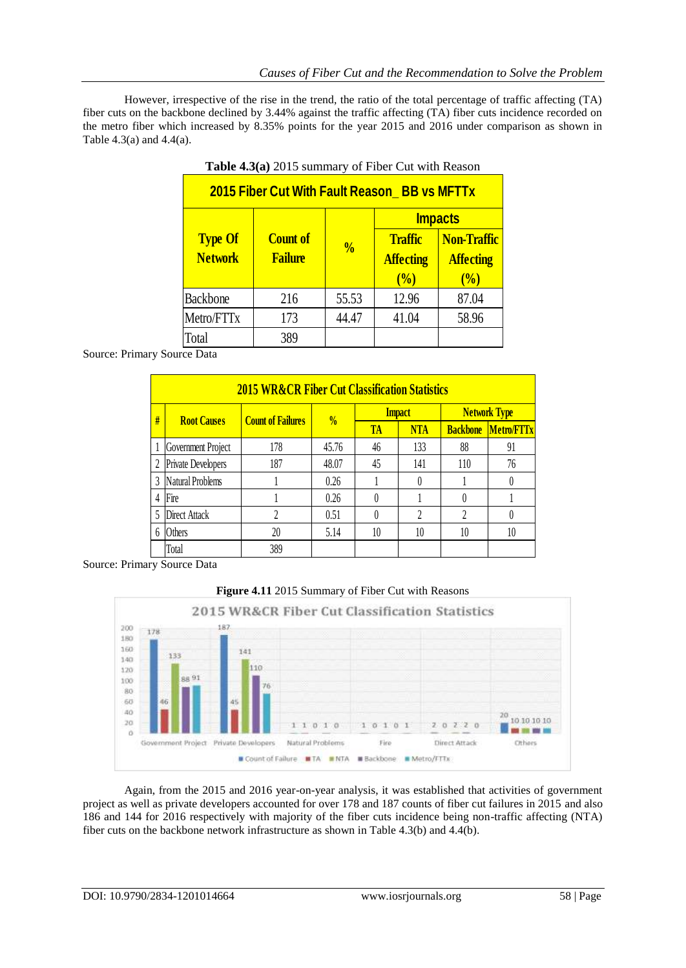However, irrespective of the rise in the trend, the ratio of the total percentage of traffic affecting (TA) fiber cuts on the backbone declined by 3.44% against the traffic affecting (TA) fiber cuts incidence recorded on the metro fiber which increased by 8.35% points for the year 2015 and 2016 under comparison as shown in Table 4.3(a) and 4.4(a).

| <b>2015 Fiber Cut With Fault Reason BB vs MFTTx</b> |                                   |               |                                    |                                        |  |  |  |
|-----------------------------------------------------|-----------------------------------|---------------|------------------------------------|----------------------------------------|--|--|--|
| <b>Impacts</b>                                      |                                   |               |                                    |                                        |  |  |  |
| <b>Type Of</b><br><b>Network</b>                    | <b>Count of</b><br><b>Failure</b> | $\frac{0}{0}$ | <b>Traffic</b><br><b>Affecting</b> | <b>Non-Traffic</b><br><b>Affecting</b> |  |  |  |
|                                                     |                                   |               | $\frac{1}{2}$                      | $\frac{1}{2}$                          |  |  |  |
| <b>Backbone</b>                                     | 216                               | 55.53         | 12.96                              | 87.04                                  |  |  |  |
| Metro/FTTx                                          | 173                               | 44.47         | 41.04                              | 58.96                                  |  |  |  |
| Total                                               | 389                               |               |                                    |                                        |  |  |  |

**Table 4.3(a)** 2015 summary of Fiber Cut with Reason

Source: Primary Source Data

|   | <b>2015 WR&amp;CR Fiber Cut Classification Statistics</b> |                          |               |               |                  |                     |            |  |
|---|-----------------------------------------------------------|--------------------------|---------------|---------------|------------------|---------------------|------------|--|
| # | <b>Root Causes</b>                                        |                          |               | <b>Impact</b> |                  | <b>Network Type</b> |            |  |
|   |                                                           | <b>Count of Failures</b> | $\frac{0}{0}$ | <b>TA</b>     | <b>NTA</b>       | <b>Backbone</b>     | Metro/FTTx |  |
|   | Government Project                                        | 178                      | 45.76         | 46            | 133              | 88                  | 91         |  |
| 2 | <b>Private Developers</b>                                 | 187                      | 48.07         | 45            | 141              | 110                 | 76         |  |
| 3 | <b>Natural Problems</b>                                   |                          | 0.26          |               | $\left( \right)$ |                     | $\theta$   |  |
| 4 | Fire                                                      |                          | 0.26          |               |                  | $\theta$            |            |  |
| 5 | Direct Attack                                             | $\mathfrak{D}$           | 0.51          |               | $\mathfrak{D}$   | $\overline{2}$      | 0          |  |
| 6 | Others                                                    | 20                       | 5.14          | 10            | 10               | 10                  | 10         |  |
|   | Total                                                     | 389                      |               |               |                  |                     |            |  |

Source: Primary Source Data

**Figure 4.11** 2015 Summary of Fiber Cut with Reasons



Again, from the 2015 and 2016 year-on-year analysis, it was established that activities of government project as well as private developers accounted for over 178 and 187 counts of fiber cut failures in 2015 and also 186 and 144 for 2016 respectively with majority of the fiber cuts incidence being non-traffic affecting (NTA) fiber cuts on the backbone network infrastructure as shown in Table 4.3(b) and 4.4(b).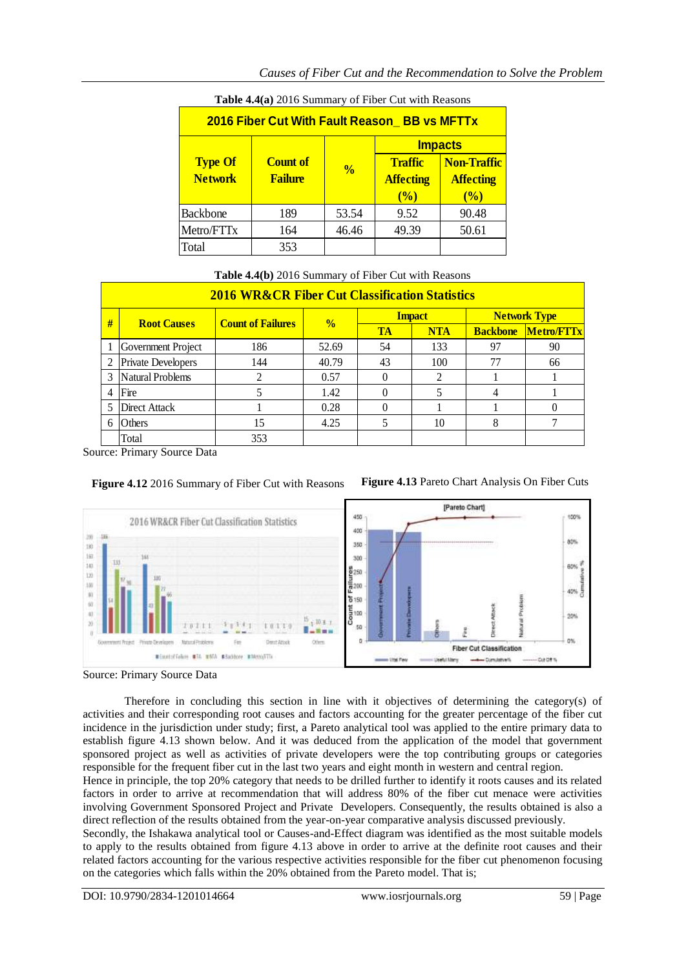|                                                     | <b>Table 4.4(a)</b> 2010 Summary 01 Flock Cut with Reasons |               |                  |                    |  |  |  |
|-----------------------------------------------------|------------------------------------------------------------|---------------|------------------|--------------------|--|--|--|
| <b>2016 Fiber Cut With Fault Reason BB vs MFTTx</b> |                                                            |               |                  |                    |  |  |  |
| <b>Impacts</b>                                      |                                                            |               |                  |                    |  |  |  |
| <b>Type Of</b>                                      | <b>Count of</b><br><b>Failure</b>                          | $\frac{0}{0}$ | <b>Traffic</b>   | <b>Non-Traffic</b> |  |  |  |
| <b>Network</b>                                      |                                                            |               | <b>Affecting</b> | <b>Affecting</b>   |  |  |  |
|                                                     |                                                            |               | (%)              | (%)                |  |  |  |
| <b>Backbone</b>                                     | 189                                                        | 53.54         | 9.52             | 90.48              |  |  |  |
| Metro/FTTx                                          | 164                                                        | 46.46         | 49.39            | 50.61              |  |  |  |
| Total                                               | 353                                                        |               |                  |                    |  |  |  |

**Table 4.4(a)** 2016 Summary of Fiber Cut with Reasons

**Table 4.4(b)** 2016 Summary of Fiber Cut with Reasons

|   | <b>2016 WR&amp;CR Fiber Cut Classification Statistics</b> |                          |               |               |            |                     |            |  |
|---|-----------------------------------------------------------|--------------------------|---------------|---------------|------------|---------------------|------------|--|
| # | <b>Root Causes</b>                                        |                          | $\frac{0}{0}$ | <b>Impact</b> |            | <b>Network Type</b> |            |  |
|   |                                                           | <b>Count of Failures</b> |               | <b>TA</b>     | <b>NTA</b> | <b>Backbone</b>     | Metro/FTTx |  |
|   | Government Project                                        | 186                      | 52.69         | 54            | 133        | 97                  | 90         |  |
|   | <b>Private Developers</b>                                 | 144                      | 40.79         | 43            | 100        |                     | 66         |  |
| 3 | Natural Problems                                          | 2                        | 0.57          | 0             | 2          |                     |            |  |
| 4 | Fire                                                      |                          | 1.42          |               | 5          |                     |            |  |
|   | Direct Attack                                             |                          | 0.28          |               |            |                     | $\theta$   |  |
| 6 | Others                                                    | 15                       | 4.25          |               | 10         |                     |            |  |
|   | Total                                                     | 353                      |               |               |            |                     |            |  |

Source: Primary Source Data

**Figure 4.12** 2016 Summary of Fiber Cut with Reasons **Figure 4.13** Pareto Chart Analysis On Fiber Cuts



Source: Primary Source Data

Therefore in concluding this section in line with it objectives of determining the category(s) of activities and their corresponding root causes and factors accounting for the greater percentage of the fiber cut incidence in the jurisdiction under study; first, a Pareto analytical tool was applied to the entire primary data to establish figure 4.13 shown below. And it was deduced from the application of the model that government sponsored project as well as activities of private developers were the top contributing groups or categories responsible for the frequent fiber cut in the last two years and eight month in western and central region.

Hence in principle, the top 20% category that needs to be drilled further to identify it roots causes and its related factors in order to arrive at recommendation that will address 80% of the fiber cut menace were activities involving Government Sponsored Project and Private Developers. Consequently, the results obtained is also a direct reflection of the results obtained from the year-on-year comparative analysis discussed previously.

Secondly, the Ishakawa analytical tool or Causes-and-Effect diagram was identified as the most suitable models to apply to the results obtained from figure 4.13 above in order to arrive at the definite root causes and their related factors accounting for the various respective activities responsible for the fiber cut phenomenon focusing on the categories which falls within the 20% obtained from the Pareto model. That is;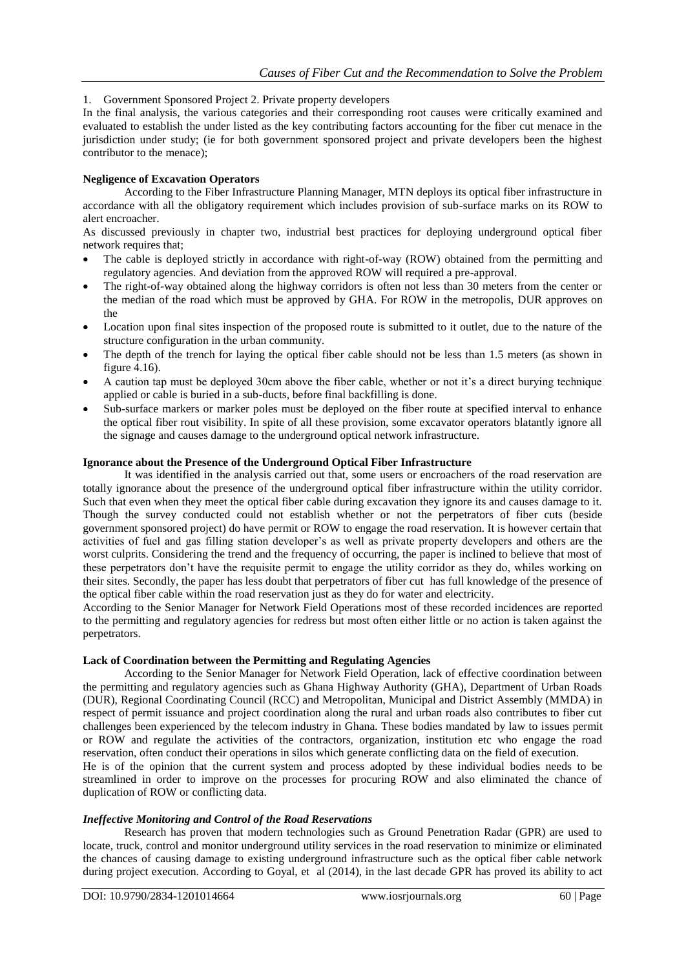## 1. Government Sponsored Project 2. Private property developers

In the final analysis, the various categories and their corresponding root causes were critically examined and evaluated to establish the under listed as the key contributing factors accounting for the fiber cut menace in the jurisdiction under study; (ie for both government sponsored project and private developers been the highest contributor to the menace);

## **Negligence of Excavation Operators**

According to the Fiber Infrastructure Planning Manager, MTN deploys its optical fiber infrastructure in accordance with all the obligatory requirement which includes provision of sub-surface marks on its ROW to alert encroacher.

As discussed previously in chapter two, industrial best practices for deploying underground optical fiber network requires that;

- The cable is deployed strictly in accordance with right-of-way (ROW) obtained from the permitting and regulatory agencies. And deviation from the approved ROW will required a pre-approval.
- The right-of-way obtained along the highway corridors is often not less than 30 meters from the center or the median of the road which must be approved by GHA. For ROW in the metropolis, DUR approves on the
- Location upon final sites inspection of the proposed route is submitted to it outlet, due to the nature of the structure configuration in the urban community.
- The depth of the trench for laying the optical fiber cable should not be less than 1.5 meters (as shown in figure 4.16).
- A caution tap must be deployed 30cm above the fiber cable, whether or not it's a direct burying technique applied or cable is buried in a sub-ducts, before final backfilling is done.
- Sub-surface markers or marker poles must be deployed on the fiber route at specified interval to enhance the optical fiber rout visibility. In spite of all these provision, some excavator operators blatantly ignore all the signage and causes damage to the underground optical network infrastructure.

## **Ignorance about the Presence of the Underground Optical Fiber Infrastructure**

It was identified in the analysis carried out that, some users or encroachers of the road reservation are totally ignorance about the presence of the underground optical fiber infrastructure within the utility corridor. Such that even when they meet the optical fiber cable during excavation they ignore its and causes damage to it. Though the survey conducted could not establish whether or not the perpetrators of fiber cuts (beside government sponsored project) do have permit or ROW to engage the road reservation. It is however certain that activities of fuel and gas filling station developer's as well as private property developers and others are the worst culprits. Considering the trend and the frequency of occurring, the paper is inclined to believe that most of these perpetrators don't have the requisite permit to engage the utility corridor as they do, whiles working on their sites. Secondly, the paper has less doubt that perpetrators of fiber cut has full knowledge of the presence of the optical fiber cable within the road reservation just as they do for water and electricity.

According to the Senior Manager for Network Field Operations most of these recorded incidences are reported to the permitting and regulatory agencies for redress but most often either little or no action is taken against the perpetrators.

## **Lack of Coordination between the Permitting and Regulating Agencies**

According to the Senior Manager for Network Field Operation, lack of effective coordination between the permitting and regulatory agencies such as Ghana Highway Authority (GHA), Department of Urban Roads (DUR), Regional Coordinating Council (RCC) and Metropolitan, Municipal and District Assembly (MMDA) in respect of permit issuance and project coordination along the rural and urban roads also contributes to fiber cut challenges been experienced by the telecom industry in Ghana. These bodies mandated by law to issues permit or ROW and regulate the activities of the contractors, organization, institution etc who engage the road reservation, often conduct their operations in silos which generate conflicting data on the field of execution.

He is of the opinion that the current system and process adopted by these individual bodies needs to be streamlined in order to improve on the processes for procuring ROW and also eliminated the chance of duplication of ROW or conflicting data.

## *Ineffective Monitoring and Control of the Road Reservations*

Research has proven that modern technologies such as Ground Penetration Radar (GPR) are used to locate, truck, control and monitor underground utility services in the road reservation to minimize or eliminated the chances of causing damage to existing underground infrastructure such as the optical fiber cable network during project execution. According to Goyal, et al (2014), in the last decade GPR has proved its ability to act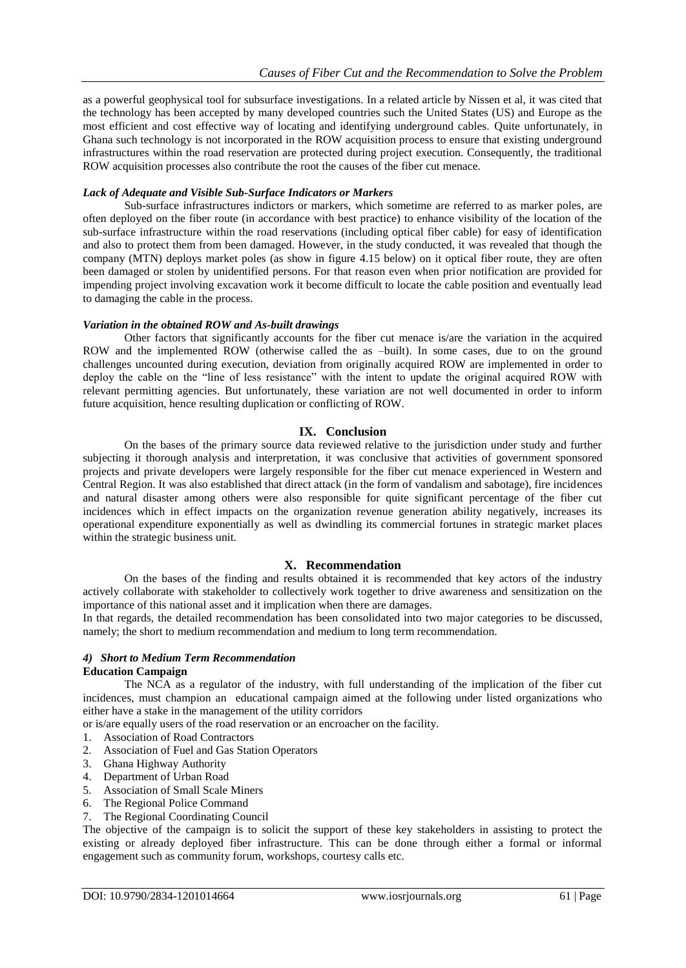as a powerful geophysical tool for subsurface investigations. In a related article by Nissen et al, it was cited that the technology has been accepted by many developed countries such the United States (US) and Europe as the most efficient and cost effective way of locating and identifying underground cables. Quite unfortunately, in Ghana such technology is not incorporated in the ROW acquisition process to ensure that existing underground infrastructures within the road reservation are protected during project execution. Consequently, the traditional ROW acquisition processes also contribute the root the causes of the fiber cut menace.

## *Lack of Adequate and Visible Sub-Surface Indicators or Markers*

Sub-surface infrastructures indictors or markers, which sometime are referred to as marker poles, are often deployed on the fiber route (in accordance with best practice) to enhance visibility of the location of the sub-surface infrastructure within the road reservations (including optical fiber cable) for easy of identification and also to protect them from been damaged. However, in the study conducted, it was revealed that though the company (MTN) deploys market poles (as show in figure 4.15 below) on it optical fiber route, they are often been damaged or stolen by unidentified persons. For that reason even when prior notification are provided for impending project involving excavation work it become difficult to locate the cable position and eventually lead to damaging the cable in the process.

## *Variation in the obtained ROW and As-built drawings*

Other factors that significantly accounts for the fiber cut menace is/are the variation in the acquired ROW and the implemented ROW (otherwise called the as –built). In some cases, due to on the ground challenges uncounted during execution, deviation from originally acquired ROW are implemented in order to deploy the cable on the "line of less resistance" with the intent to update the original acquired ROW with relevant permitting agencies. But unfortunately, these variation are not well documented in order to inform future acquisition, hence resulting duplication or conflicting of ROW.

# **IX. Conclusion**

On the bases of the primary source data reviewed relative to the jurisdiction under study and further subjecting it thorough analysis and interpretation, it was conclusive that activities of government sponsored projects and private developers were largely responsible for the fiber cut menace experienced in Western and Central Region. It was also established that direct attack (in the form of vandalism and sabotage), fire incidences and natural disaster among others were also responsible for quite significant percentage of the fiber cut incidences which in effect impacts on the organization revenue generation ability negatively, increases its operational expenditure exponentially as well as dwindling its commercial fortunes in strategic market places within the strategic business unit.

# **X. Recommendation**

On the bases of the finding and results obtained it is recommended that key actors of the industry actively collaborate with stakeholder to collectively work together to drive awareness and sensitization on the importance of this national asset and it implication when there are damages.

In that regards, the detailed recommendation has been consolidated into two major categories to be discussed, namely; the short to medium recommendation and medium to long term recommendation.

#### *4) Short to Medium Term Recommendation* **Education Campaign**

The NCA as a regulator of the industry, with full understanding of the implication of the fiber cut incidences, must champion an educational campaign aimed at the following under listed organizations who either have a stake in the management of the utility corridors

or is/are equally users of the road reservation or an encroacher on the facility.

- 1. Association of Road Contractors
- 2. Association of Fuel and Gas Station Operators
- 3. Ghana Highway Authority
- 4. Department of Urban Road
- 5. Association of Small Scale Miners
- 6. The Regional Police Command
- 7. The Regional Coordinating Council

The objective of the campaign is to solicit the support of these key stakeholders in assisting to protect the existing or already deployed fiber infrastructure. This can be done through either a formal or informal engagement such as community forum, workshops, courtesy calls etc.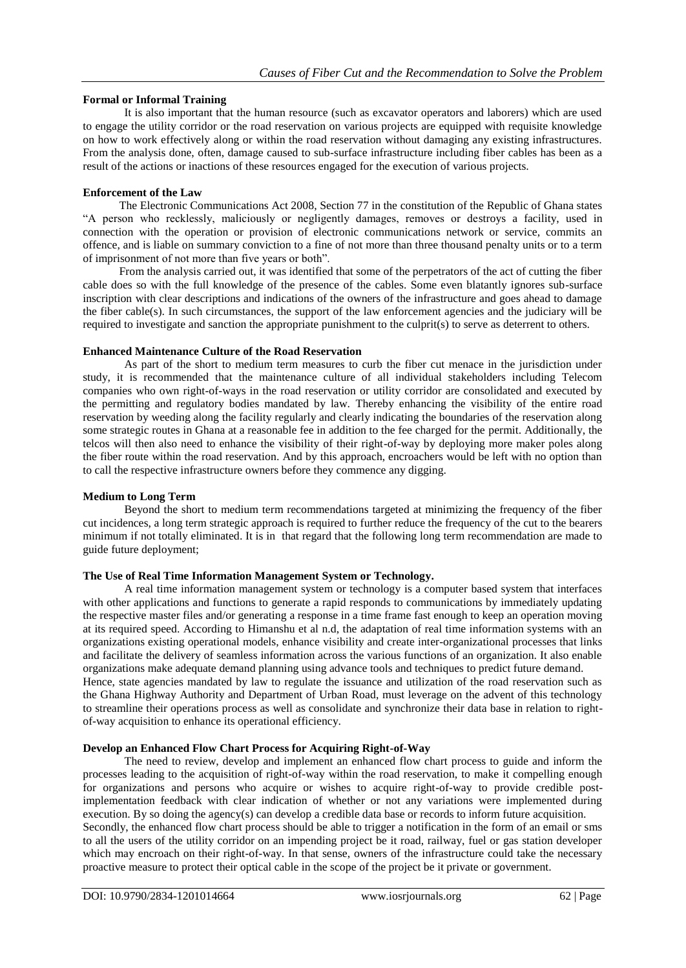## **Formal or Informal Training**

It is also important that the human resource (such as excavator operators and laborers) which are used to engage the utility corridor or the road reservation on various projects are equipped with requisite knowledge on how to work effectively along or within the road reservation without damaging any existing infrastructures. From the analysis done, often, damage caused to sub-surface infrastructure including fiber cables has been as a result of the actions or inactions of these resources engaged for the execution of various projects.

## **Enforcement of the Law**

The Electronic Communications Act 2008, Section 77 in the constitution of the Republic of Ghana states "A person who recklessly, maliciously or negligently damages, removes or destroys a facility, used in connection with the operation or provision of electronic communications network or service, commits an offence, and is liable on summary conviction to a fine of not more than three thousand penalty units or to a term of imprisonment of not more than five years or both".

From the analysis carried out, it was identified that some of the perpetrators of the act of cutting the fiber cable does so with the full knowledge of the presence of the cables. Some even blatantly ignores sub-surface inscription with clear descriptions and indications of the owners of the infrastructure and goes ahead to damage the fiber cable(s). In such circumstances, the support of the law enforcement agencies and the judiciary will be required to investigate and sanction the appropriate punishment to the culprit(s) to serve as deterrent to others.

## **Enhanced Maintenance Culture of the Road Reservation**

As part of the short to medium term measures to curb the fiber cut menace in the jurisdiction under study, it is recommended that the maintenance culture of all individual stakeholders including Telecom companies who own right-of-ways in the road reservation or utility corridor are consolidated and executed by the permitting and regulatory bodies mandated by law. Thereby enhancing the visibility of the entire road reservation by weeding along the facility regularly and clearly indicating the boundaries of the reservation along some strategic routes in Ghana at a reasonable fee in addition to the fee charged for the permit. Additionally, the telcos will then also need to enhance the visibility of their right-of-way by deploying more maker poles along the fiber route within the road reservation. And by this approach, encroachers would be left with no option than to call the respective infrastructure owners before they commence any digging.

## **Medium to Long Term**

Beyond the short to medium term recommendations targeted at minimizing the frequency of the fiber cut incidences, a long term strategic approach is required to further reduce the frequency of the cut to the bearers minimum if not totally eliminated. It is in that regard that the following long term recommendation are made to guide future deployment;

## **The Use of Real Time Information Management System or Technology.**

A real time information management system or technology is a computer based system that interfaces with other applications and functions to generate a rapid responds to communications by immediately updating the respective master files and/or generating a response in a time frame fast enough to keep an operation moving at its required speed. According to Himanshu et al n.d, the adaptation of real time information systems with an organizations existing operational models, enhance visibility and create inter-organizational processes that links and facilitate the delivery of seamless information across the various functions of an organization. It also enable organizations make adequate demand planning using advance tools and techniques to predict future demand. Hence, state agencies mandated by law to regulate the issuance and utilization of the road reservation such as the Ghana Highway Authority and Department of Urban Road, must leverage on the advent of this technology to streamline their operations process as well as consolidate and synchronize their data base in relation to rightof-way acquisition to enhance its operational efficiency.

# **Develop an Enhanced Flow Chart Process for Acquiring Right-of-Way**

The need to review, develop and implement an enhanced flow chart process to guide and inform the processes leading to the acquisition of right-of-way within the road reservation, to make it compelling enough for organizations and persons who acquire or wishes to acquire right-of-way to provide credible postimplementation feedback with clear indication of whether or not any variations were implemented during execution. By so doing the agency(s) can develop a credible data base or records to inform future acquisition. Secondly, the enhanced flow chart process should be able to trigger a notification in the form of an email or sms to all the users of the utility corridor on an impending project be it road, railway, fuel or gas station developer which may encroach on their right-of-way. In that sense, owners of the infrastructure could take the necessary proactive measure to protect their optical cable in the scope of the project be it private or government.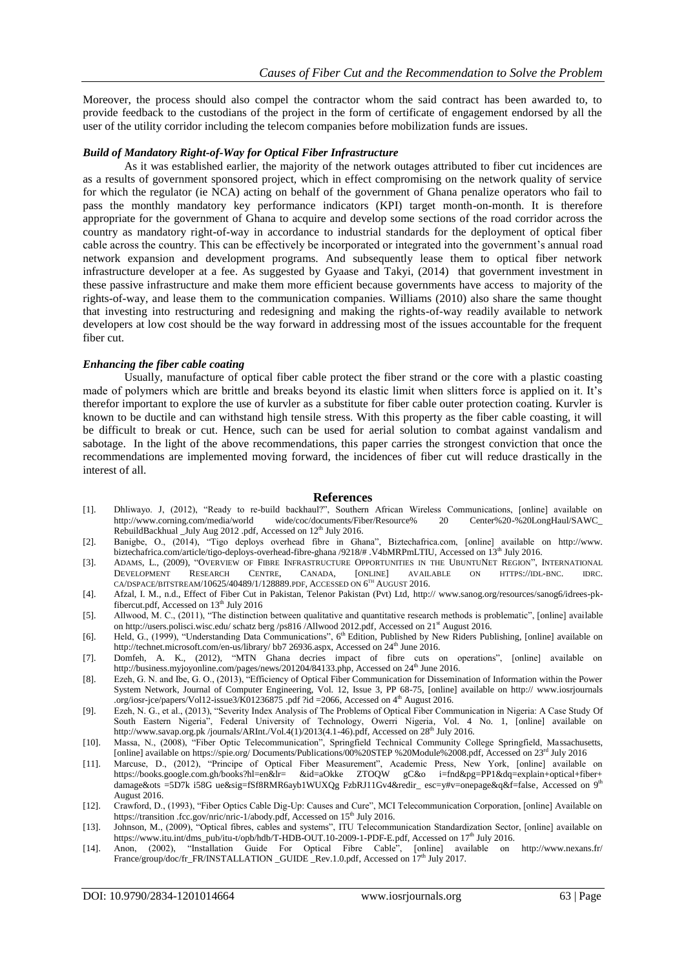Moreover, the process should also compel the contractor whom the said contract has been awarded to, to provide feedback to the custodians of the project in the form of certificate of engagement endorsed by all the user of the utility corridor including the telecom companies before mobilization funds are issues.

#### *Build of Mandatory Right-of-Way for Optical Fiber Infrastructure*

As it was established earlier, the majority of the network outages attributed to fiber cut incidences are as a results of government sponsored project, which in effect compromising on the network quality of service for which the regulator (ie NCA) acting on behalf of the government of Ghana penalize operators who fail to pass the monthly mandatory key performance indicators (KPI) target month-on-month. It is therefore appropriate for the government of Ghana to acquire and develop some sections of the road corridor across the country as mandatory right-of-way in accordance to industrial standards for the deployment of optical fiber cable across the country. This can be effectively be incorporated or integrated into the government's annual road network expansion and development programs. And subsequently lease them to optical fiber network infrastructure developer at a fee. As suggested by Gyaase and Takyi, (2014) that government investment in these passive infrastructure and make them more efficient because governments have access to majority of the rights-of-way, and lease them to the communication companies. Williams (2010) also share the same thought that investing into restructuring and redesigning and making the rights-of-way readily available to network developers at low cost should be the way forward in addressing most of the issues accountable for the frequent fiber cut.

#### *Enhancing the fiber cable coating*

Usually, manufacture of optical fiber cable protect the fiber strand or the core with a plastic coasting made of polymers which are brittle and breaks beyond its elastic limit when slitters force is applied on it. It's therefor important to explore the use of kurvler as a substitute for fiber cable outer protection coating. Kurvler is known to be ductile and can withstand high tensile stress. With this property as the fiber cable coasting, it will be difficult to break or cut. Hence, such can be used for aerial solution to combat against vandalism and sabotage. In the light of the above recommendations, this paper carries the strongest conviction that once the recommendations are implemented moving forward, the incidences of fiber cut will reduce drastically in the interest of all.

#### **References**

- [1]. Dhliwayo. J, (2012), "Ready to re-build backhaul?", Southern African Wireless Communications, [online] available on http://www.corning.com/media/world wide/coc/documents/Fiber/Resource% 20 Center%20-%20LongHaul/SAWC http://www.corning.com/media/world [RebuildBackhual \\_July Aug 2012 .pdf,](http://www.corning.com/media/world%20wide/coc/documents/Fiber/Resource%25%2020%20Center%20-%20LongHaul/SAWC_%20RebuildBackhual%20_July%20Aug%202012%20.pdf) Accessed on 12<sup>th</sup> July 2016.
- [2]. Banigbe, O., (2014), "Tigo deploys overhead fibre in Ghana", Biztechafrica.com, [online] available on http://www. biztechafrica.com/article/tigo-deploys-overhead-fibre-ghana /9218/# .V4bMRPmLTIU, Accessed on 13<sup>th</sup> July 2016.
- [3]. ADAMS, L., (2009), "OVERVIEW OF FIBRE INFRASTRUCTURE OPPORTUNITIES IN THE UBUNTUNET REGION", INTERNATIONAL DEVELOPMENT RESEARCH CENTRE, CANADA, [ONLINE] AVAILABLE ON HTTPS://IDL-BNC. IDRC. CA/DSPACE/BITSTREAM/10625/40489/1/128889.PDF, ACCESSED ON 6 TH AUGUST 2016.
- [4]. Afzal, I. M., n.d., Effect of Fiber Cut in Pakistan, Telenor Pakistan (Pvt) Ltd, http:// www.sanog.org/resources/sanog6/idrees-pkfibercut.pdf, Accessed on 13<sup>th</sup> July 2016
- [5]. Allwood, M. C., (2011), "The distinction between qualitative and quantitative research methods is problematic", [online] available o[n http://users.polisci.wisc.edu/ schatz berg /ps816 /Allwood 2012.pdf,](http://users.polisci.wisc.edu/%20schatz%20berg%20/ps816%20/Allwood%202012.pdf) Accessed on 21<sup>st</sup> August 2016.
- [6]. Held, G., (1999), "Understanding Data Communications", 6<sup>th</sup> Edition, Published by New Riders Publishing, [online] available on [http://technet.microsoft.com/en-us/library/ bb7 26936.aspx,](http://technet.microsoft.com/en-us/library/%20bb7%2026936.aspx) Accessed on 24<sup>th</sup> June 2016.
- [7]. Domfeh, A. K., (2012), "MTN Ghana decries impact of fibre cuts on operations", [online] available on [http://business.myjoyonline.com/pages/news/201204/84133.php,](http://business.myjoyonline.com/pages/news/201204/84133.php) Accessed on 24<sup>th</sup> June 2016.
- [8]. Ezeh, G. N. and Ibe, G. O., (2013), "Efficiency of Optical Fiber Communication for Dissemination of Information within the Power System Network, Journal of Computer Engineering, Vol. 12, Issue 3, PP 68-75, [online] available on http:// www.iosrjournals .org/iosr-jce/papers/Vol12-issue3/K01236875 .pdf ?id =2066, Accessed on  $4<sup>th</sup>$  August 2016.
- [9]. Ezeh, N. G., et al., (2013), "Severity Index Analysis of The Problems of Optical Fiber Communication in Nigeria: A Case Study Of South Eastern Nigeria", Federal University of Technology, Owerri Nigeria, Vol. 4 No. 1, [online] available on http://www.savap.org.pk /journals/ARInt./Vol.4(1)/2013(4.1-46).pdf, Accessed on 28<sup>th</sup> July 2016.
- [10]. Massa, N., (2008), "Fiber Optic Telecommunication", Springfield Technical Community College Springfield, Massachusetts, [online] available o[n https://spie.org/ Documents/Publications/00%20STEP %20Module%2008.pdf,](https://spie.org/%20Documents/Publications/00%20STEP%20%20Module%2008.pdf) Accessed on 23rd July 2016
- [11]. Marcuse, D., (2012), "Principe of Optical Fiber Measurement", Academic Press, New York, [online] available on [https://books.google.com.gh/books?hl=en&lr= &id=aOkke ZTOQW gC&o i=fnd&pg=PP1&dq=explain+optical+fiber+](https://books.google.com.gh/books?hl=en&lr=%20&id=aOkke%20ZTOQW%20gC&o%20i=fnd&pg=PP1&dq=explain+optical+fiber+%20damage&ots%20=5D7k%20i58G%20ue&sig=fSf8RMR6ayb1WUXQg%20FzbRJ11Gv4&redir_%20esc=y#v=onepage&q&f=false)  [damage&ots =5D7k i58G ue&sig=fSf8RMR6ayb1WUXQg FzbRJ11Gv4&redir\\_ esc=y#v=onepage&q&f=false,](https://books.google.com.gh/books?hl=en&lr=%20&id=aOkke%20ZTOQW%20gC&o%20i=fnd&pg=PP1&dq=explain+optical+fiber+%20damage&ots%20=5D7k%20i58G%20ue&sig=fSf8RMR6ayb1WUXQg%20FzbRJ11Gv4&redir_%20esc=y#v=onepage&q&f=false) Accessed on 9th August 2016.
- [12]. Crawford, D., (1993), "Fiber Optics Cable Dig-Up: Causes and Cure", MCI Telecommunication Corporation, [online] Available on https://transition .fcc.gov/nric/nric-1/abody.pdf, Accessed on 15<sup>th</sup> July 2016.
- [13]. Johnson, M., (2009), "Optical fibres, cables and systems", ITU Telecommunication Standardization Sector, [online] available on [https://www.itu.int/dms\\_pub/itu-t/opb/hdb/T-HDB-OUT.10-2009-1-PDF-E.pdf,](https://www.itu.int/dms_pub/itu-t/opb/hdb/T-HDB-OUT.10-2009-1-PDF-E.pdf) Accessed on 17<sup>th</sup> July 2016.
- [14]. Anon, (2002), "Installation Guide For Optical Fibre Cable", [online] available on [http://www.nexans.fr/](http://www.nexans.fr/%20France/group/doc/fr_FR/INSTALLATION%20_GUIDE%20_Rev.1.0.pdf)  [France/group/doc/fr\\_FR/INSTALLATION \\_GUIDE \\_Rev.1.0.pdf,](http://www.nexans.fr/%20France/group/doc/fr_FR/INSTALLATION%20_GUIDE%20_Rev.1.0.pdf) Accessed on  $17<sup>th</sup>$  July 2017.